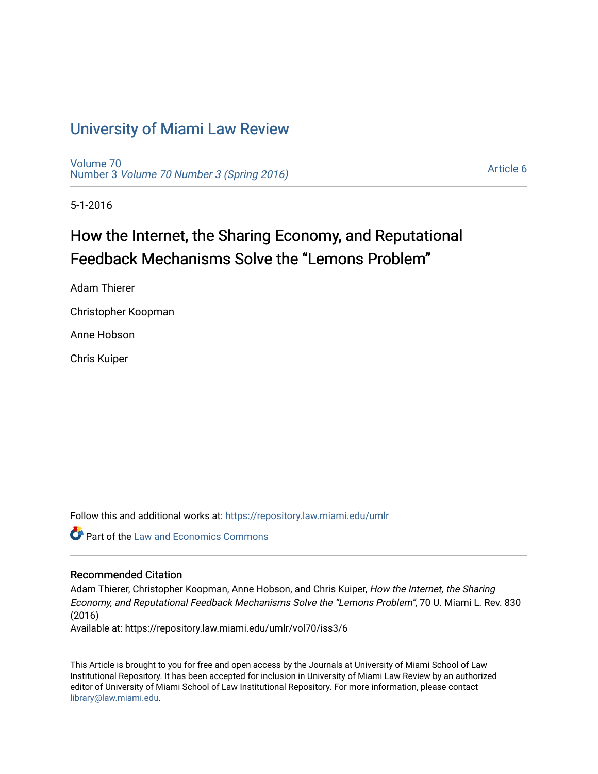## [University of Miami Law Review](https://repository.law.miami.edu/umlr)

[Volume 70](https://repository.law.miami.edu/umlr/vol70) Number 3 [Volume 70 Number 3 \(Spring 2016\)](https://repository.law.miami.edu/umlr/vol70/iss3)

[Article 6](https://repository.law.miami.edu/umlr/vol70/iss3/6) 

5-1-2016

# How the Internet, the Sharing Economy, and Reputational Feedback Mechanisms Solve the "Lemons Problem"

Adam Thierer

Christopher Koopman

Anne Hobson

Chris Kuiper

Follow this and additional works at: [https://repository.law.miami.edu/umlr](https://repository.law.miami.edu/umlr?utm_source=repository.law.miami.edu%2Fumlr%2Fvol70%2Fiss3%2F6&utm_medium=PDF&utm_campaign=PDFCoverPages)

**Part of the Law and Economics Commons** 

#### Recommended Citation

Adam Thierer, Christopher Koopman, Anne Hobson, and Chris Kuiper, How the Internet, the Sharing Economy, and Reputational Feedback Mechanisms Solve the "Lemons Problem", 70 U. Miami L. Rev. 830 (2016)

Available at: https://repository.law.miami.edu/umlr/vol70/iss3/6

This Article is brought to you for free and open access by the Journals at University of Miami School of Law Institutional Repository. It has been accepted for inclusion in University of Miami Law Review by an authorized editor of University of Miami School of Law Institutional Repository. For more information, please contact [library@law.miami.edu.](mailto:library@law.miami.edu)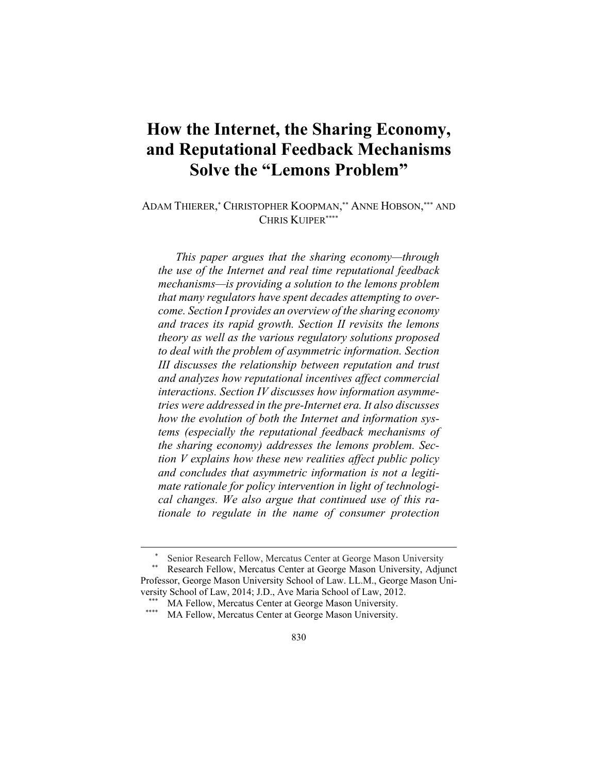## **How the Internet, the Sharing Economy, and Reputational Feedback Mechanisms Solve the "Lemons Problem"**

ADAM THIERER, \* CHRISTOPHER KOOPMAN, \*\* ANNE HOBSON, \*\*\* AND CHRIS KUIPER\*\*\*\*

*This paper argues that the sharing economy—through the use of the Internet and real time reputational feedback mechanisms—is providing a solution to the lemons problem that many regulators have spent decades attempting to overcome. Section I provides an overview of the sharing economy and traces its rapid growth. Section II revisits the lemons theory as well as the various regulatory solutions proposed to deal with the problem of asymmetric information. Section III discusses the relationship between reputation and trust and analyzes how reputational incentives affect commercial interactions. Section IV discusses how information asymmetries were addressed in the pre-Internet era. It also discusses how the evolution of both the Internet and information systems (especially the reputational feedback mechanisms of the sharing economy) addresses the lemons problem. Section V explains how these new realities affect public policy and concludes that asymmetric information is not a legitimate rationale for policy intervention in light of technological changes. We also argue that continued use of this rationale to regulate in the name of consumer protection* 

<sup>\*</sup> Senior Research Fellow, Mercatus Center at George Mason University<br>\*\* Research Fellow, Mercatus Center at George Mason University, Adjunct

Professor, George Mason University School of Law. LL.M., George Mason University School of Law, 2014; J.D., Ave Maria School of Law, 2012.

<sup>\*\*\*</sup> MA Fellow, Mercatus Center at George Mason University.<br>\*\*\*\* MA Fellow, Mercatus Center at George Mason University.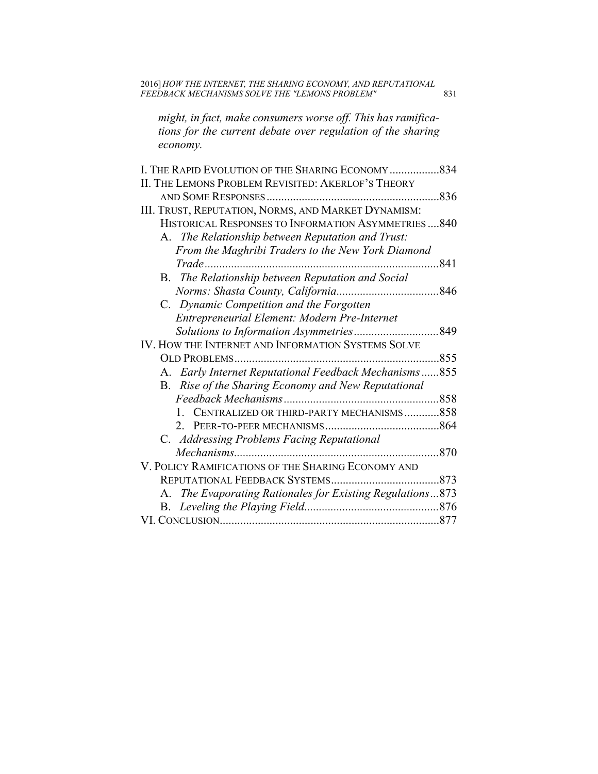*might, in fact, make consumers worse off. This has ramifications for the current debate over regulation of the sharing economy.* 

| II. THE LEMONS PROBLEM REVISITED: AKERLOF'S THEORY        |      |
|-----------------------------------------------------------|------|
|                                                           | .836 |
| III. TRUST, REPUTATION, NORMS, AND MARKET DYNAMISM:       |      |
| HISTORICAL RESPONSES TO INFORMATION ASYMMETRIES840        |      |
| A. The Relationship between Reputation and Trust:         |      |
| From the Maghribi Traders to the New York Diamond         |      |
| $Trade$                                                   | 841  |
| B. The Relationship between Reputation and Social         |      |
|                                                           |      |
| C. Dynamic Competition and the Forgotten                  |      |
| Entrepreneurial Element: Modern Pre-Internet              |      |
|                                                           |      |
| IV. HOW THE INTERNET AND INFORMATION SYSTEMS SOLVE        |      |
|                                                           |      |
| A. Early Internet Reputational Feedback Mechanisms  855   |      |
| B. Rise of the Sharing Economy and New Reputational       |      |
|                                                           |      |
| CENTRALIZED OR THIRD-PARTY MECHANISMS858<br>1.            |      |
| 2 <sup>1</sup>                                            |      |
| C. Addressing Problems Facing Reputational                |      |
|                                                           | .870 |
| V. POLICY RAMIFICATIONS OF THE SHARING ECONOMY AND        |      |
| REPUTATIONAL FEEDBACK SYSTEMS                             | 873  |
| A. The Evaporating Rationales for Existing Regulations873 |      |
|                                                           |      |
|                                                           |      |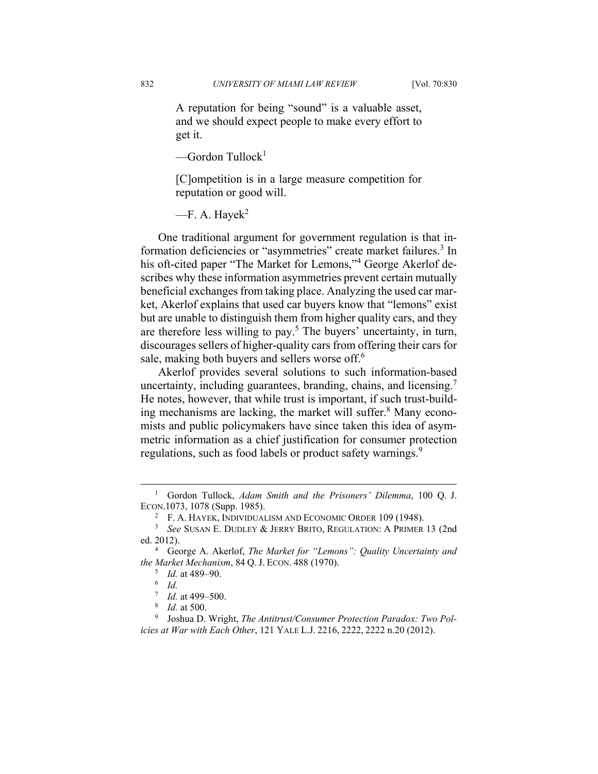A reputation for being "sound" is a valuable asset, and we should expect people to make every effort to get it.

 $\sim$ Gordon Tullock<sup>1</sup>

[C]ompetition is in a large measure competition for reputation or good will.

 $-F. A. Havek<sup>2</sup>$ 

One traditional argument for government regulation is that information deficiencies or "asymmetries" create market failures.<sup>3</sup> In his oft-cited paper "The Market for Lemons,"<sup>4</sup> George Akerlof describes why these information asymmetries prevent certain mutually beneficial exchanges from taking place. Analyzing the used car market, Akerlof explains that used car buyers know that "lemons" exist but are unable to distinguish them from higher quality cars, and they are therefore less willing to pay.<sup>5</sup> The buyers' uncertainty, in turn, discourages sellers of higher-quality cars from offering their cars for sale, making both buyers and sellers worse off.<sup>6</sup>

Akerlof provides several solutions to such information-based uncertainty, including guarantees, branding, chains, and licensing.<sup>7</sup> He notes, however, that while trust is important, if such trust-building mechanisms are lacking, the market will suffer.<sup>8</sup> Many economists and public policymakers have since taken this idea of asymmetric information as a chief justification for consumer protection regulations, such as food labels or product safety warnings.<sup>9</sup>

 $\frac{1}{1}$  Gordon Tullock, *Adam Smith and the Prisoners' Dilemma*, 100 Q. J. ECON.1073, 1078 (Supp. 1985). 2

 $F. A.$  HAYEK, INDIVIDUALISM AND ECONOMIC ORDER 109 (1948).

*See* SUSAN E. DUDLEY & JERRY BRITO, REGULATION: A PRIMER 13 (2nd ed. 2012).

George A. Akerlof, *The Market for "Lemons": Quality Uncertainty and the Market Mechanism*, 84 Q. J. ECON. 488 (1970).

 $^5$  *Id.* at 489–90.

*Id.*

 $\frac{7}{8}$  *Id.* at 499–500.

<sup>&</sup>lt;sup>8</sup> *Id.* at 500.

<sup>&</sup>lt;sup>9</sup> Joshua D. Wright, *The Antitrust/Consumer Protection Paradox: Two Policies at War with Each Other*, 121 YALE L.J. 2216, 2222, 2222 n.20 (2012).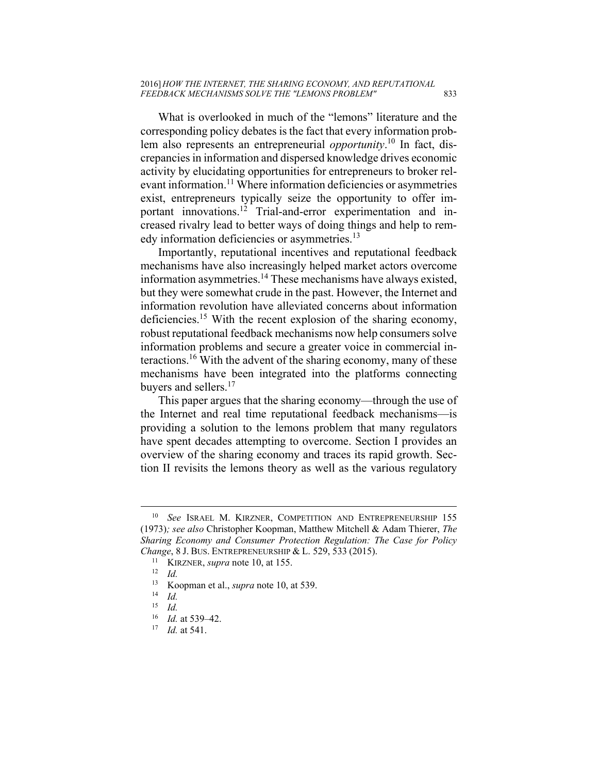What is overlooked in much of the "lemons" literature and the corresponding policy debates is the fact that every information problem also represents an entrepreneurial *opportunity*. 10 In fact, discrepancies in information and dispersed knowledge drives economic activity by elucidating opportunities for entrepreneurs to broker relevant information.<sup>11</sup> Where information deficiencies or asymmetries exist, entrepreneurs typically seize the opportunity to offer important innovations.<sup>12</sup> Trial-and-error experimentation and increased rivalry lead to better ways of doing things and help to remedy information deficiencies or asymmetries.<sup>13</sup>

Importantly, reputational incentives and reputational feedback mechanisms have also increasingly helped market actors overcome information asymmetries.14 These mechanisms have always existed, but they were somewhat crude in the past. However, the Internet and information revolution have alleviated concerns about information deficiencies.15 With the recent explosion of the sharing economy, robust reputational feedback mechanisms now help consumers solve information problems and secure a greater voice in commercial interactions.16 With the advent of the sharing economy, many of these mechanisms have been integrated into the platforms connecting buyers and sellers.<sup>17</sup>

This paper argues that the sharing economy—through the use of the Internet and real time reputational feedback mechanisms—is providing a solution to the lemons problem that many regulators have spent decades attempting to overcome. Section I provides an overview of the sharing economy and traces its rapid growth. Section II revisits the lemons theory as well as the various regulatory

 <sup>10</sup> *See* ISRAEL M. KIRZNER, COMPETITION AND ENTREPRENEURSHIP 155 (1973)*; see also* Christopher Koopman, Matthew Mitchell & Adam Thierer, *The Sharing Economy and Consumer Protection Regulation: The Case for Policy Change*, 8 J. BUS. ENTREPRENEURSHIP & L. 529, 533 (2015).<br><sup>11</sup> KIRZNER, *supra* note 10, at 155.<br><sup>12</sup> *Id.*<br><sup>13</sup> Koopman et al. *supra* note 10, at 539.

<sup>13</sup> Koopman et al., *supra* note 10, at 539. 14 *Id.*

 $\frac{15}{16}$  *Id.* 

<sup>16</sup> *Id.* at 539–42. 17 *Id.* at 541.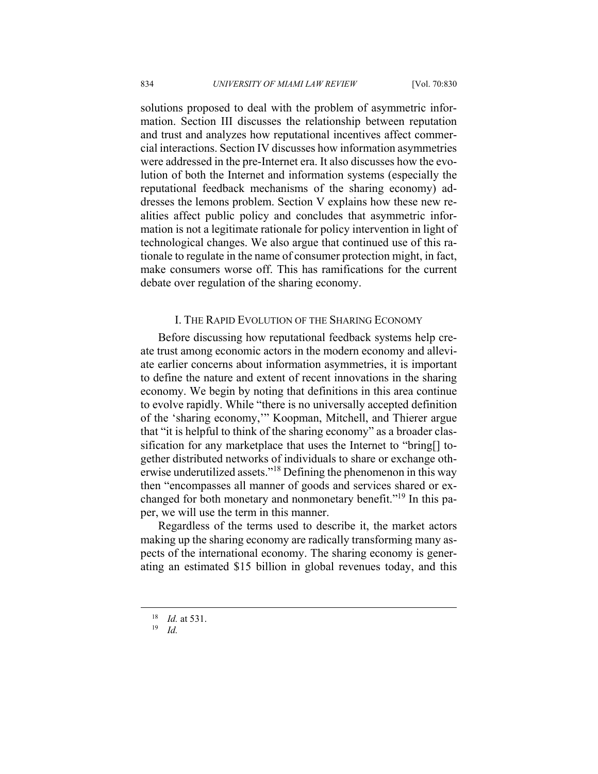solutions proposed to deal with the problem of asymmetric information. Section III discusses the relationship between reputation and trust and analyzes how reputational incentives affect commercial interactions. Section IV discusses how information asymmetries were addressed in the pre-Internet era. It also discusses how the evolution of both the Internet and information systems (especially the reputational feedback mechanisms of the sharing economy) addresses the lemons problem. Section V explains how these new realities affect public policy and concludes that asymmetric information is not a legitimate rationale for policy intervention in light of technological changes. We also argue that continued use of this rationale to regulate in the name of consumer protection might, in fact, make consumers worse off. This has ramifications for the current debate over regulation of the sharing economy.

#### I. THE RAPID EVOLUTION OF THE SHARING ECONOMY

Before discussing how reputational feedback systems help create trust among economic actors in the modern economy and alleviate earlier concerns about information asymmetries, it is important to define the nature and extent of recent innovations in the sharing economy. We begin by noting that definitions in this area continue to evolve rapidly. While "there is no universally accepted definition of the 'sharing economy,'" Koopman, Mitchell, and Thierer argue that "it is helpful to think of the sharing economy" as a broader classification for any marketplace that uses the Internet to "bring[] together distributed networks of individuals to share or exchange otherwise underutilized assets."<sup>18</sup> Defining the phenomenon in this way then "encompasses all manner of goods and services shared or exchanged for both monetary and nonmonetary benefit."19 In this paper, we will use the term in this manner.

Regardless of the terms used to describe it, the market actors making up the sharing economy are radically transforming many aspects of the international economy. The sharing economy is generating an estimated \$15 billion in global revenues today, and this

<sup>18</sup> *Id.* at 531. 19 *Id.*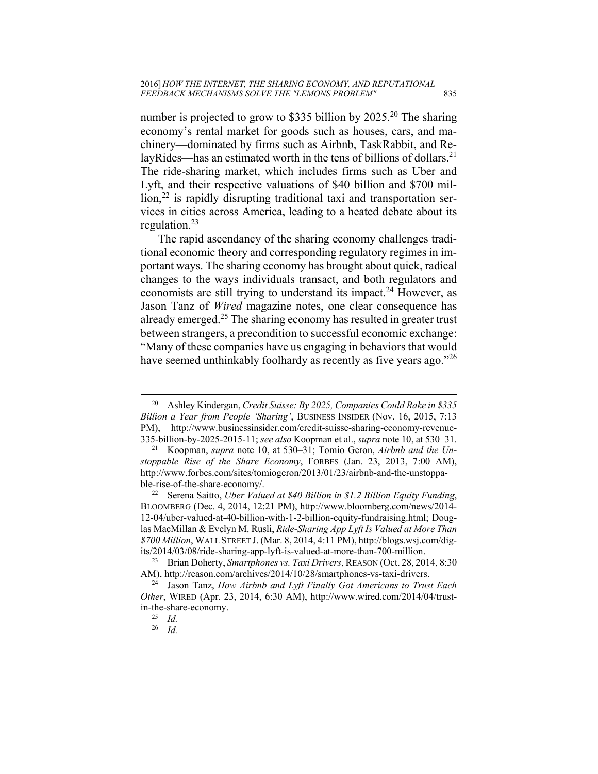number is projected to grow to \$335 billion by 2025.<sup>20</sup> The sharing economy's rental market for goods such as houses, cars, and machinery—dominated by firms such as Airbnb, TaskRabbit, and RelayRides—has an estimated worth in the tens of billions of dollars.<sup>21</sup> The ride-sharing market, which includes firms such as Uber and Lyft, and their respective valuations of \$40 billion and \$700 mil- $\lim_{n \to \infty} 2^2$  is rapidly disrupting traditional taxi and transportation services in cities across America, leading to a heated debate about its regulation.23

The rapid ascendancy of the sharing economy challenges traditional economic theory and corresponding regulatory regimes in important ways. The sharing economy has brought about quick, radical changes to the ways individuals transact, and both regulators and economists are still trying to understand its impact.<sup>24</sup> However, as Jason Tanz of *Wired* magazine notes, one clear consequence has already emerged.<sup>25</sup> The sharing economy has resulted in greater trust between strangers, a precondition to successful economic exchange: "Many of these companies have us engaging in behaviors that would have seemed unthinkably foolhardy as recently as five years ago."<sup>26</sup>

 <sup>20</sup> Ashley Kindergan, *Credit Suisse: By 2025, Companies Could Rake in \$335 Billion a Year from People 'Sharing'*, BUSINESS INSIDER (Nov. 16, 2015, 7:13 PM), http://www.businessinsider.com/credit-suisse-sharing-economy-revenue-

<sup>335-</sup>billion-by-2025-2015-11; *see also* Koopman et al., *supra* note 10, at 530–31. 21 Koopman, *supra* note 10, at 530–31; Tomio Geron, *Airbnb and the Unstoppable Rise of the Share Economy*, FORBES (Jan. 23, 2013, 7:00 AM), http://www.forbes.com/sites/tomiogeron/2013/01/23/airbnb-and-the-unstoppable-rise-of-the-share-economy/. 22 Serena Saitto, *Uber Valued at \$40 Billion in \$1.2 Billion Equity Funding*,

BLOOMBERG (Dec. 4, 2014, 12:21 PM), http://www.bloomberg.com/news/2014- 12-04/uber-valued-at-40-billion-with-1-2-billion-equity-fundraising.html; Douglas MacMillan & Evelyn M. Rusli, *Ride-Sharing App Lyft Is Valued at More Than \$700 Million*, WALL STREET J. (Mar. 8, 2014, 4:11 PM), http://blogs.wsj.com/dig-

its/2014/03/08/ride-sharing-app-lyft-is-valued-at-more-than-700-million. 23 Brian Doherty, *Smartphones vs. Taxi Drivers*, REASON (Oct. 28, 2014, 8:30 AM), http://reason.com/archives/2014/10/28/smartphones-vs-taxi-drivers. 24 Jason Tanz, *How Airbnb and Lyft Finally Got Americans to Trust Each* 

*Other*, WIRED (Apr. 23, 2014, 6:30 AM), http://www.wired.com/2014/04/trustin-the-share-economy. 25 *Id.* 

<sup>26</sup> *Id.*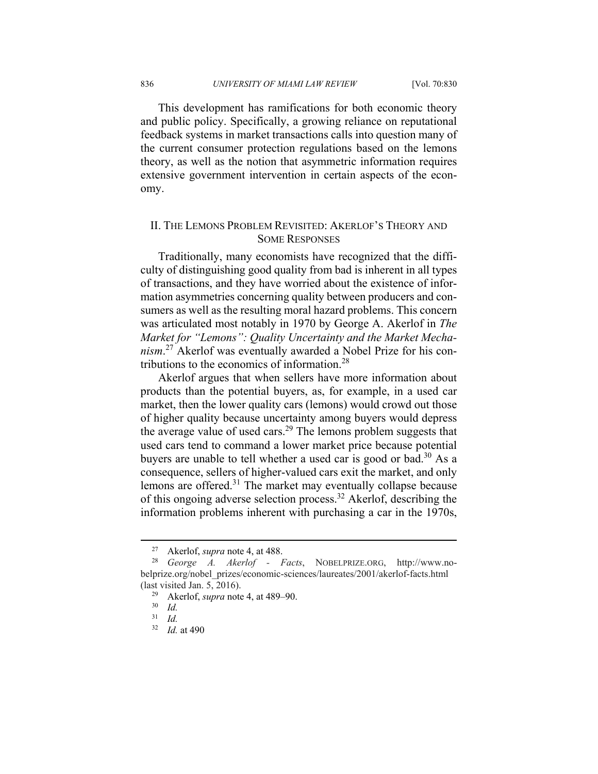This development has ramifications for both economic theory and public policy. Specifically, a growing reliance on reputational feedback systems in market transactions calls into question many of the current consumer protection regulations based on the lemons theory, as well as the notion that asymmetric information requires extensive government intervention in certain aspects of the economy.

### II. THE LEMONS PROBLEM REVISITED: AKERLOF'S THEORY AND SOME RESPONSES

Traditionally, many economists have recognized that the difficulty of distinguishing good quality from bad is inherent in all types of transactions, and they have worried about the existence of information asymmetries concerning quality between producers and consumers as well as the resulting moral hazard problems. This concern was articulated most notably in 1970 by George A. Akerlof in *The Market for "Lemons": Quality Uncertainty and the Market Mechanism*. 27 Akerlof was eventually awarded a Nobel Prize for his contributions to the economics of information.<sup>28</sup>

Akerlof argues that when sellers have more information about products than the potential buyers, as, for example, in a used car market, then the lower quality cars (lemons) would crowd out those of higher quality because uncertainty among buyers would depress the average value of used cars.<sup>29</sup> The lemons problem suggests that used cars tend to command a lower market price because potential buyers are unable to tell whether a used car is good or bad.<sup>30</sup> As a consequence, sellers of higher-valued cars exit the market, and only lemons are offered.31 The market may eventually collapse because of this ongoing adverse selection process.32 Akerlof, describing the information problems inherent with purchasing a car in the 1970s,

 <sup>27</sup> Akerlof, *supra* note 4, at 488. 28 *George A. Akerlof - Facts*, NOBELPRIZE.ORG, http://www.nobelprize.org/nobel\_prizes/economic-sciences/laureates/2001/akerlof-facts.html (last visited Jan. 5, 2016).

<sup>29</sup> Akerlof, *supra* note 4, at 489–90. 30 *Id.* 

<sup>31</sup> *Id.* 

<sup>32</sup> *Id.* at 490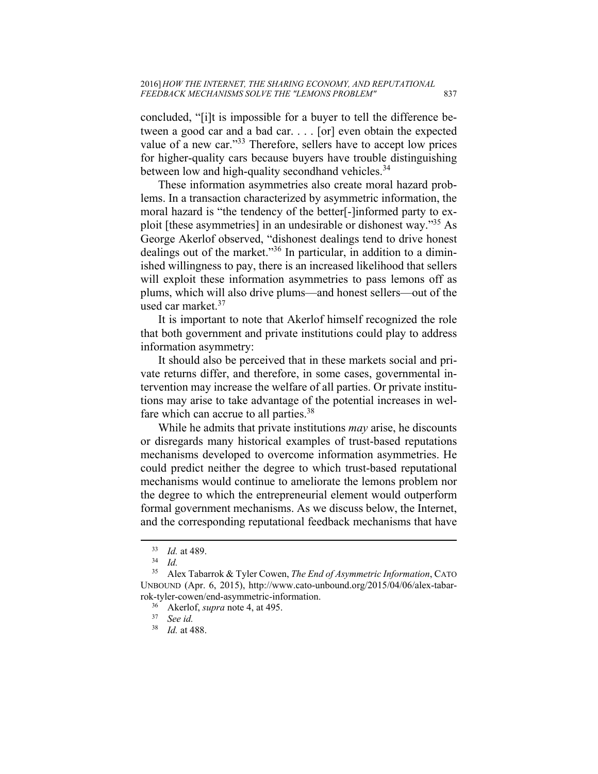concluded, "[i]t is impossible for a buyer to tell the difference between a good car and a bad car. . . . [or] even obtain the expected value of a new car."<sup>33</sup> Therefore, sellers have to accept low prices for higher-quality cars because buyers have trouble distinguishing between low and high-quality secondhand vehicles.<sup>34</sup>

These information asymmetries also create moral hazard problems. In a transaction characterized by asymmetric information, the moral hazard is "the tendency of the better[-]informed party to exploit [these asymmetries] in an undesirable or dishonest way."35 As George Akerlof observed, "dishonest dealings tend to drive honest dealings out of the market."36 In particular, in addition to a diminished willingness to pay, there is an increased likelihood that sellers will exploit these information asymmetries to pass lemons off as plums, which will also drive plums—and honest sellers—out of the used car market.<sup>37</sup>

It is important to note that Akerlof himself recognized the role that both government and private institutions could play to address information asymmetry:

It should also be perceived that in these markets social and private returns differ, and therefore, in some cases, governmental intervention may increase the welfare of all parties. Or private institutions may arise to take advantage of the potential increases in welfare which can accrue to all parties.<sup>38</sup>

While he admits that private institutions *may* arise, he discounts or disregards many historical examples of trust-based reputations mechanisms developed to overcome information asymmetries. He could predict neither the degree to which trust-based reputational mechanisms would continue to ameliorate the lemons problem nor the degree to which the entrepreneurial element would outperform formal government mechanisms. As we discuss below, the Internet, and the corresponding reputational feedback mechanisms that have

<sup>33</sup> *Id.* at 489. 34 *Id.* 

<sup>35</sup> Alex Tabarrok & Tyler Cowen, *The End of Asymmetric Information*, CATO UNBOUND (Apr. 6, 2015), http://www.cato-unbound.org/2015/04/06/alex-tabarrok-tyler-cowen/end-asymmetric-information. 36 Akerlof, *supra* note 4, at 495. 37 *See id.*

<sup>38</sup> *Id.* at 488.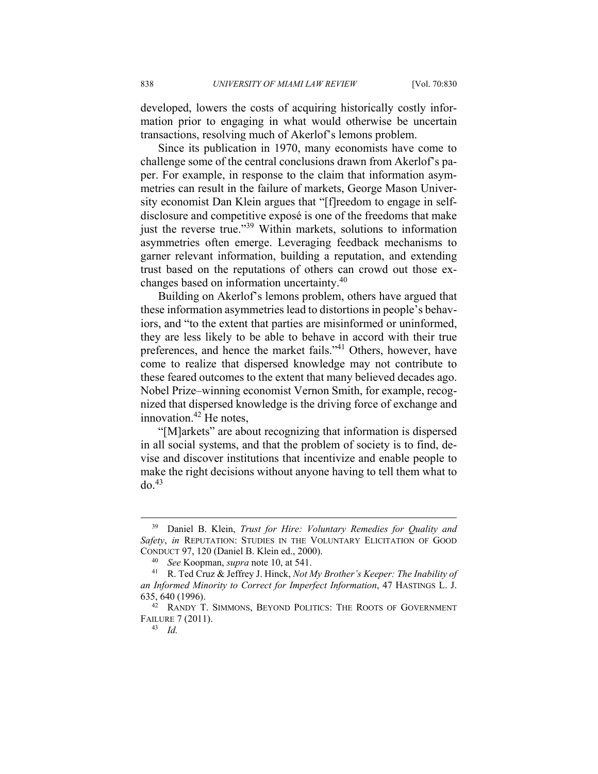developed, lowers the costs of acquiring historically costly information prior to engaging in what would otherwise be uncertain transactions, resolving much of Akerlof's lemons problem.

Since its publication in 1970, many economists have come to challenge some of the central conclusions drawn from Akerlof's paper. For example, in response to the claim that information asymmetries can result in the failure of markets, George Mason University economist Dan Klein argues that "[f]reedom to engage in selfdisclosure and competitive exposé is one of the freedoms that make just the reverse true."<sup>39</sup> Within markets, solutions to information asymmetries often emerge. Leveraging feedback mechanisms to garner relevant information, building a reputation, and extending trust based on the reputations of others can crowd out those exchanges based on information uncertainty.<sup>40</sup>

Building on Akerlof's lemons problem, others have argued that these information asymmetries lead to distortions in people's behaviors, and "to the extent that parties are misinformed or uninformed, they are less likely to be able to behave in accord with their true preferences, and hence the market fails."41 Others, however, have come to realize that dispersed knowledge may not contribute to these feared outcomes to the extent that many believed decades ago. Nobel Prize–winning economist Vernon Smith, for example, recognized that dispersed knowledge is the driving force of exchange and innovation. $42$  He notes,

"[M]arkets" are about recognizing that information is dispersed in all social systems, and that the problem of society is to find, devise and discover institutions that incentivize and enable people to make the right decisions without anyone having to tell them what to  $do.<sup>43</sup>$ 

 <sup>39</sup> Daniel B. Klein, *Trust for Hire: Voluntary Remedies for Quality and Safety*, *in* REPUTATION: STUDIES IN THE VOLUNTARY ELICITATION OF GOOD CONDUCT 97, 120 (Daniel B. Klein ed., 2000). 40 *See* Koopman, *supra* note 10, at 541. 41 R. Ted Cruz & Jeffrey J. Hinck, *Not My Brother's Keeper: The Inability of* 

*an Informed Minority to Correct for Imperfect Information*, 47 HASTINGS L. J. 635, 640 (1996). 42 RANDY T. SIMMONS, BEYOND POLITICS: THE ROOTS OF GOVERNMENT

FAILURE 7 (2011). 43 *Id.*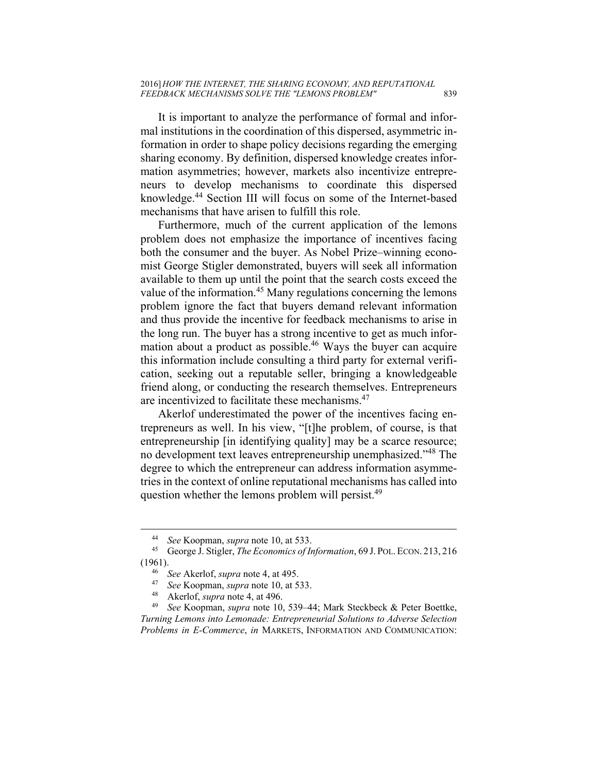It is important to analyze the performance of formal and informal institutions in the coordination of this dispersed, asymmetric information in order to shape policy decisions regarding the emerging sharing economy. By definition, dispersed knowledge creates information asymmetries; however, markets also incentivize entrepreneurs to develop mechanisms to coordinate this dispersed knowledge.44 Section III will focus on some of the Internet-based mechanisms that have arisen to fulfill this role.

Furthermore, much of the current application of the lemons problem does not emphasize the importance of incentives facing both the consumer and the buyer. As Nobel Prize–winning economist George Stigler demonstrated, buyers will seek all information available to them up until the point that the search costs exceed the value of the information.<sup>45</sup> Many regulations concerning the lemons problem ignore the fact that buyers demand relevant information and thus provide the incentive for feedback mechanisms to arise in the long run. The buyer has a strong incentive to get as much information about a product as possible.<sup>46</sup> Ways the buyer can acquire this information include consulting a third party for external verification, seeking out a reputable seller, bringing a knowledgeable friend along, or conducting the research themselves. Entrepreneurs are incentivized to facilitate these mechanisms.47

Akerlof underestimated the power of the incentives facing entrepreneurs as well. In his view, "[t]he problem, of course, is that entrepreneurship [in identifying quality] may be a scarce resource; no development text leaves entrepreneurship unemphasized."48 The degree to which the entrepreneur can address information asymmetries in the context of online reputational mechanisms has called into question whether the lemons problem will persist.<sup>49</sup>

<sup>44</sup> *See* Koopman, *supra* note 10, at 533. 45 George J. Stigler, *The Economics of Information*, 69 J. POL. ECON. 213, <sup>216</sup> (1961).<br>
<sup>46</sup> See Akerlof, *supra* note 4, at 495.<br>
<sup>47</sup> See Koopman, *supra* note 10, at 533.<br>
<sup>48</sup> Akerlof, *supra* note 4, at 496.<br>
<sup>49</sup> See Koopman, *supra* note 10, 539–44; Mark Steckbeck & Peter Boettke,

*Turning Lemons into Lemonade: Entrepreneurial Solutions to Adverse Selection Problems in E-Commerce*, *in* MARKETS, INFORMATION AND COMMUNICATION: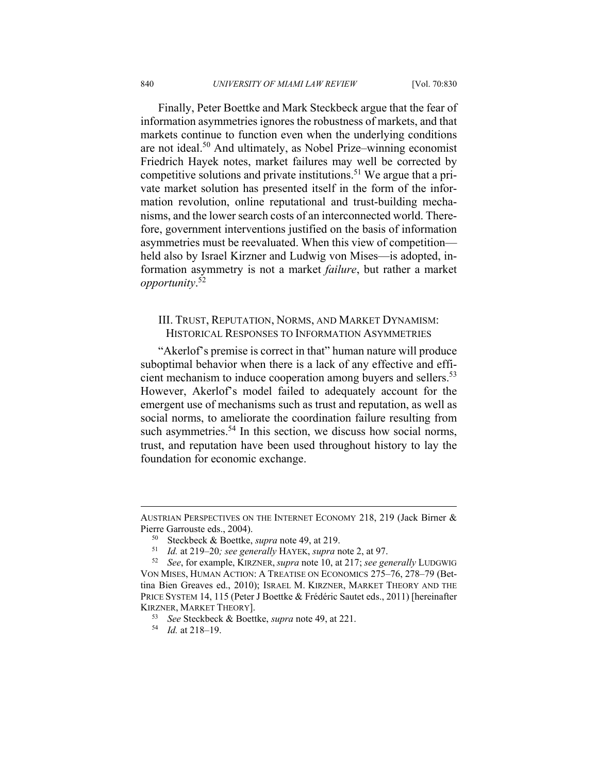Finally, Peter Boettke and Mark Steckbeck argue that the fear of information asymmetries ignores the robustness of markets, and that markets continue to function even when the underlying conditions are not ideal.50 And ultimately, as Nobel Prize–winning economist Friedrich Hayek notes, market failures may well be corrected by competitive solutions and private institutions.51 We argue that a private market solution has presented itself in the form of the information revolution, online reputational and trust-building mechanisms, and the lower search costs of an interconnected world. Therefore, government interventions justified on the basis of information asymmetries must be reevaluated. When this view of competition held also by Israel Kirzner and Ludwig von Mises—is adopted, information asymmetry is not a market *failure*, but rather a market *opportunity*. 52

#### III. TRUST, REPUTATION, NORMS, AND MARKET DYNAMISM: HISTORICAL RESPONSES TO INFORMATION ASYMMETRIES

"Akerlof's premise is correct in that" human nature will produce suboptimal behavior when there is a lack of any effective and efficient mechanism to induce cooperation among buyers and sellers.<sup>53</sup> However, Akerlof's model failed to adequately account for the emergent use of mechanisms such as trust and reputation, as well as social norms, to ameliorate the coordination failure resulting from such asymmetries.<sup>54</sup> In this section, we discuss how social norms, trust, and reputation have been used throughout history to lay the foundation for economic exchange.

AUSTRIAN PERSPECTIVES ON THE INTERNET ECONOMY 218, 219 (Jack Birner & Pierre Garrouste eds., 2004).<br><sup>50</sup> Steckbeck & Boettke, *supra* note 49, at 219.<br><sup>51</sup> Id. at 219–20; *see generally* HAYEK, *supra* note 2, at 97.<br><sup>52</sup> See, for example, KIRZNER, *supra* note 10, at 217; *see generally* L

VON MISES, HUMAN ACTION: A TREATISE ON ECONOMICS 275–76, 278–79 (Bettina Bien Greaves ed., 2010); ISRAEL M. KIRZNER, MARKET THEORY AND THE PRICE SYSTEM 14, 115 (Peter J Boettke & Frédéric Sautet eds., 2011) [hereinafter KIRZNER, MARKET THEORY]. 53 *See* Steckbeck & Boettke, *supra* note 49, at 221. 54 *Id.* at 218–19.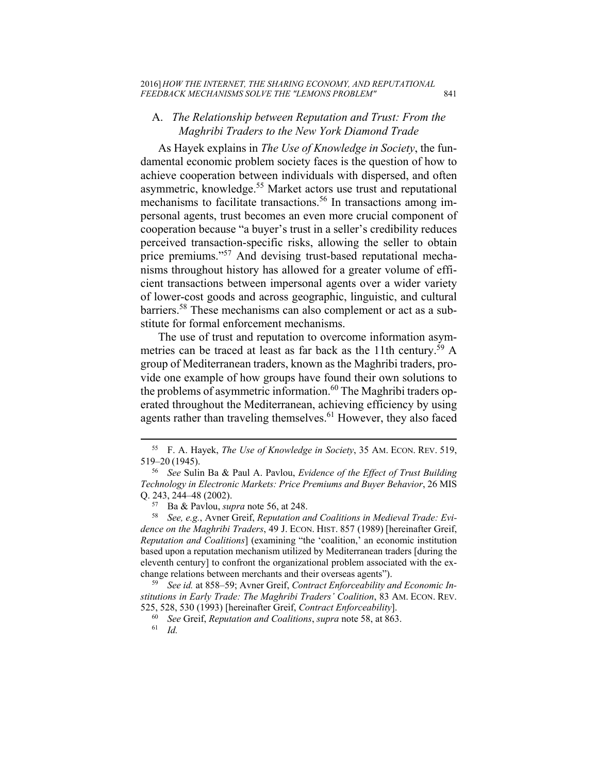## A. *The Relationship between Reputation and Trust: From the Maghribi Traders to the New York Diamond Trade*

As Hayek explains in *The Use of Knowledge in Society*, the fundamental economic problem society faces is the question of how to achieve cooperation between individuals with dispersed, and often asymmetric, knowledge.55 Market actors use trust and reputational mechanisms to facilitate transactions.<sup>56</sup> In transactions among impersonal agents, trust becomes an even more crucial component of cooperation because "a buyer's trust in a seller's credibility reduces perceived transaction-specific risks, allowing the seller to obtain price premiums."57 And devising trust-based reputational mechanisms throughout history has allowed for a greater volume of efficient transactions between impersonal agents over a wider variety of lower-cost goods and across geographic, linguistic, and cultural barriers.58 These mechanisms can also complement or act as a substitute for formal enforcement mechanisms.

The use of trust and reputation to overcome information asymmetries can be traced at least as far back as the 11th century.<sup>59</sup> A group of Mediterranean traders, known as the Maghribi traders, provide one example of how groups have found their own solutions to the problems of asymmetric information.<sup>60</sup> The Maghribi traders operated throughout the Mediterranean, achieving efficiency by using agents rather than traveling themselves.<sup>61</sup> However, they also faced

 <sup>55</sup> F. A. Hayek, *The Use of Knowledge in Society*, 35 AM. ECON. REV. 519, 519–20 (1945). 56 *See* Sulin Ba & Paul A. Pavlou, *Evidence of the Effect of Trust Building* 

*Technology in Electronic Markets: Price Premiums and Buyer Behavior*, 26 MIS Q. 243, 244–48 (2002).<br><sup>57</sup> Ba & Pavlou, *supra* note 56, at 248.<br><sup>58</sup> See, e.g., Avner Greif, *Reputation and Coalitions in Medieval Trade: Evi-*

*dence on the Maghribi Traders*, 49 J. ECON. HIST. 857 (1989) [hereinafter Greif, *Reputation and Coalitions*] (examining "the 'coalition,' an economic institution based upon a reputation mechanism utilized by Mediterranean traders [during the eleventh century] to confront the organizational problem associated with the exchange relations between merchants and their overseas agents"). 59 *See id.* at 858–59; Avner Greif, *Contract Enforceability and Economic In-*

*stitutions in Early Trade: The Maghribi Traders' Coalition*, 83 AM. ECON. REV. 525, 528, 530 (1993) [hereinafter Greif, *Contract Enforceability*]. 60 *See* Greif, *Reputation and Coalitions*, *supra* note 58, at 863. 61 *Id.*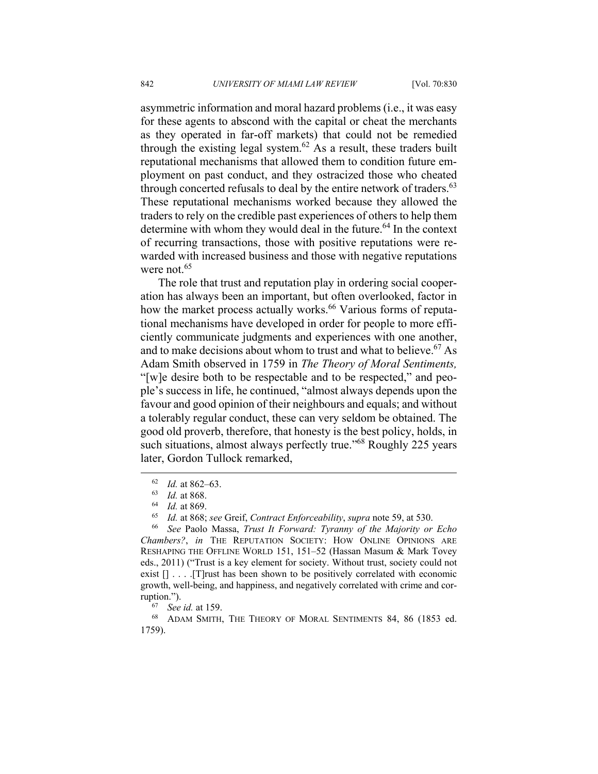asymmetric information and moral hazard problems (i.e., it was easy for these agents to abscond with the capital or cheat the merchants as they operated in far-off markets) that could not be remedied through the existing legal system.<sup>62</sup> As a result, these traders built reputational mechanisms that allowed them to condition future employment on past conduct, and they ostracized those who cheated through concerted refusals to deal by the entire network of traders.  $63$ These reputational mechanisms worked because they allowed the traders to rely on the credible past experiences of others to help them determine with whom they would deal in the future.<sup>64</sup> In the context of recurring transactions, those with positive reputations were rewarded with increased business and those with negative reputations were not.<sup>65</sup>

The role that trust and reputation play in ordering social cooperation has always been an important, but often overlooked, factor in how the market process actually works.<sup>66</sup> Various forms of reputational mechanisms have developed in order for people to more efficiently communicate judgments and experiences with one another, and to make decisions about whom to trust and what to believe.<sup>67</sup> As Adam Smith observed in 1759 in *The Theory of Moral Sentiments,* "[w]e desire both to be respectable and to be respected," and people's success in life, he continued, "almost always depends upon the favour and good opinion of their neighbours and equals; and without a tolerably regular conduct, these can very seldom be obtained. The good old proverb, therefore, that honesty is the best policy, holds, in such situations, almost always perfectly true."<sup>68</sup> Roughly 225 years later, Gordon Tullock remarked,

<sup>&</sup>lt;sup>62</sup> *Id.* at 862–63.<br><sup>63</sup> *Id.* at 868.<br><sup>64</sup> *Id.* at 869.<br><sup>65</sup> *Id.* at 868; see Greif, Contract Enforceability, supra note 59, at 530.<br><sup>66</sup> *See Paolo Massa, Trust It Forward: Tyranny of the Majority or Echo Chambers?*, *in* THE REPUTATION SOCIETY: HOW ONLINE OPINIONS ARE RESHAPING THE OFFLINE WORLD 151, 151–52 (Hassan Masum & Mark Tovey eds., 2011) ("Trust is a key element for society. Without trust, society could not exist  $[] \ldots$  . The leadstand shown to be positively correlated with economic growth, well-being, and happiness, and negatively correlated with crime and cor-

ruption.").<br><sup>67</sup> *See id.* at 159.<br><sup>68</sup> ADAM SMITH, THE THEORY OF MORAL SENTIMENTS 84, 86 (1853 ed. 1759).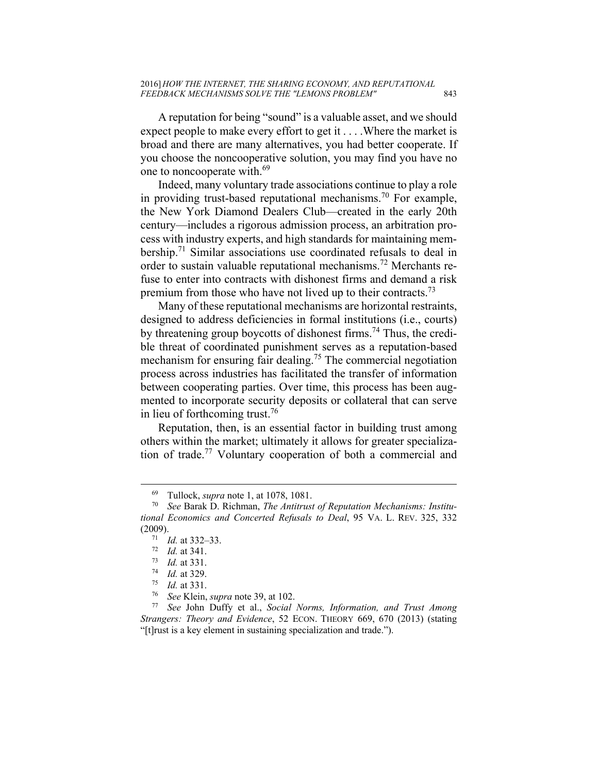A reputation for being "sound" is a valuable asset, and we should expect people to make every effort to get it . . . .Where the market is broad and there are many alternatives, you had better cooperate. If you choose the noncooperative solution, you may find you have no one to noncooperate with.<sup>69</sup>

Indeed, many voluntary trade associations continue to play a role in providing trust-based reputational mechanisms.<sup>70</sup> For example, the New York Diamond Dealers Club—created in the early 20th century—includes a rigorous admission process, an arbitration process with industry experts, and high standards for maintaining membership.<sup>71</sup> Similar associations use coordinated refusals to deal in order to sustain valuable reputational mechanisms.72 Merchants refuse to enter into contracts with dishonest firms and demand a risk premium from those who have not lived up to their contracts.<sup>73</sup>

Many of these reputational mechanisms are horizontal restraints, designed to address deficiencies in formal institutions (i.e., courts) by threatening group boycotts of dishonest firms.<sup>74</sup> Thus, the credible threat of coordinated punishment serves as a reputation-based mechanism for ensuring fair dealing.<sup>75</sup> The commercial negotiation process across industries has facilitated the transfer of information between cooperating parties. Over time, this process has been augmented to incorporate security deposits or collateral that can serve in lieu of forthcoming trust.<sup>76</sup>

Reputation, then, is an essential factor in building trust among others within the market; ultimately it allows for greater specialization of trade.77 Voluntary cooperation of both a commercial and

 <sup>69</sup> Tullock, *supra* note 1, at 1078, 1081. 70 *See* Barak D. Richman, *The Antitrust of Reputation Mechanisms: Institutional Economics and Concerted Refusals to Deal*, 95 VA. L. REV. 325, 332 (2009).<br>
<sup>71</sup> Id. at 332–33.<br>
<sup>72</sup> Id. at 341.<br>
<sup>73</sup> Id. at 331.<br>
<sup>74</sup> Id. at 329.<br>
<sup>75</sup> Id. at 331.<br>
<sup>76</sup> See Klein, *supra* note 39, at 102.<br>
<sup>77</sup> See John Duffy et al., *Social Norms, Information, and Trust Among* 

*Strangers: Theory and Evidence*, 52 ECON. THEORY 669, 670 (2013) (stating "[t]rust is a key element in sustaining specialization and trade.").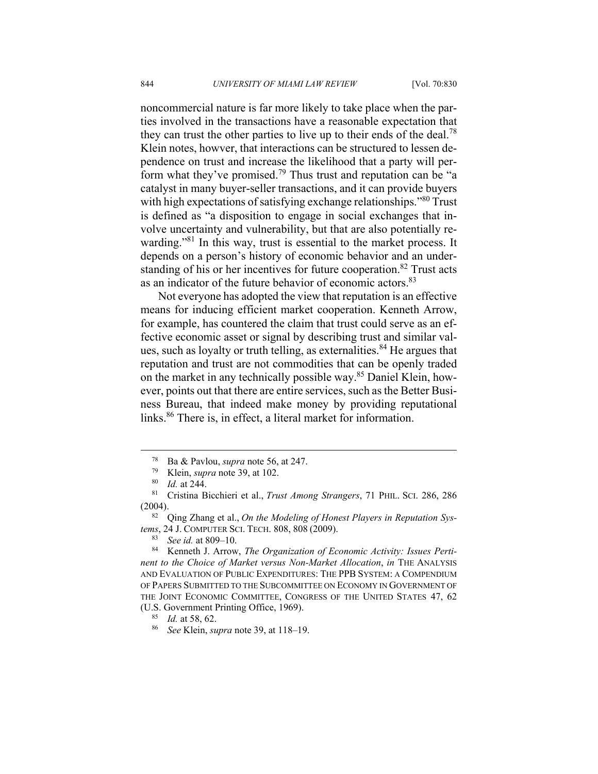noncommercial nature is far more likely to take place when the parties involved in the transactions have a reasonable expectation that they can trust the other parties to live up to their ends of the deal.<sup>78</sup> Klein notes, howver, that interactions can be structured to lessen dependence on trust and increase the likelihood that a party will perform what they've promised.79 Thus trust and reputation can be "a catalyst in many buyer-seller transactions, and it can provide buyers with high expectations of satisfying exchange relationships."<sup>80</sup> Trust is defined as "a disposition to engage in social exchanges that involve uncertainty and vulnerability, but that are also potentially rewarding."<sup>81</sup> In this way, trust is essential to the market process. It depends on a person's history of economic behavior and an understanding of his or her incentives for future cooperation.<sup>82</sup> Trust acts as an indicator of the future behavior of economic actors.<sup>83</sup>

Not everyone has adopted the view that reputation is an effective means for inducing efficient market cooperation. Kenneth Arrow, for example, has countered the claim that trust could serve as an effective economic asset or signal by describing trust and similar values, such as loyalty or truth telling, as externalities.<sup>84</sup> He argues that reputation and trust are not commodities that can be openly traded on the market in any technically possible way.85 Daniel Klein, however, points out that there are entire services, such as the Better Business Bureau, that indeed make money by providing reputational links.<sup>86</sup> There is, in effect, a literal market for information.

 <sup>78</sup> Ba & Pavlou, *supra* note 56, at 247. 79 Klein, *supra* note 39, at 102. 80 *Id.* at 244. 81 Cristina Bicchieri et al., *Trust Among Strangers*, 71 PHIL. SCI. 286, 286 (2004). 82 Qing Zhang et al., *On the Modeling of Honest Players in Reputation Sys-*

*tems*, 24 J. COMPUTER SCI. TECH. 808, 808 (2009).<br>
<sup>83</sup> See *id.* at 809–10.<br>
<sup>84</sup> Kenneth J. Arrow, *The Organization of Economic Activity: Issues Perti-*

*nent to the Choice of Market versus Non-Market Allocation*, *in* THE ANALYSIS AND EVALUATION OF PUBLIC EXPENDITURES: THE PPB SYSTEM: A COMPENDIUM OF PAPERS SUBMITTED TO THE SUBCOMMITTEE ON ECONOMY IN GOVERNMENT OF THE JOINT ECONOMIC COMMITTEE, CONGRESS OF THE UNITED STATES 47, 62 (U.S. Government Printing Office, 1969). 85 *Id.* at 58, 62. 86 *See* Klein, *supra* note 39, at 118–19.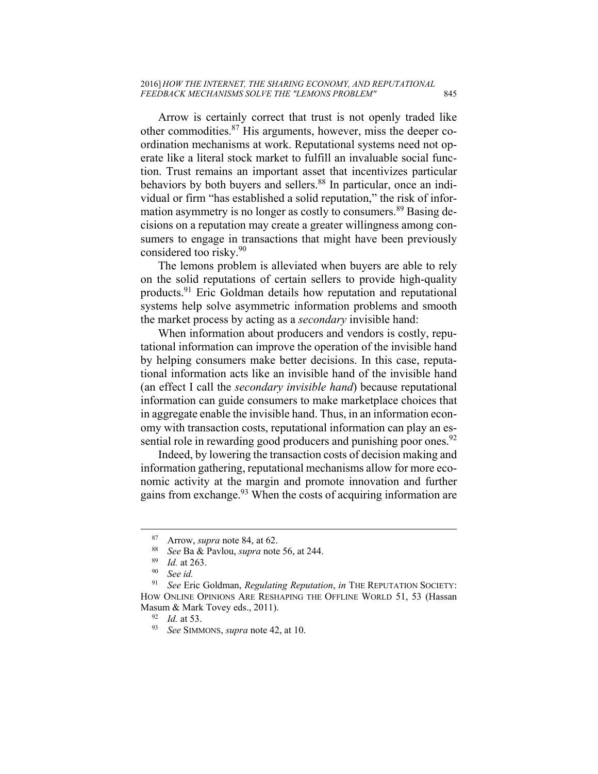Arrow is certainly correct that trust is not openly traded like other commodities. $87$  His arguments, however, miss the deeper coordination mechanisms at work. Reputational systems need not operate like a literal stock market to fulfill an invaluable social function. Trust remains an important asset that incentivizes particular behaviors by both buyers and sellers.<sup>88</sup> In particular, once an individual or firm "has established a solid reputation," the risk of information asymmetry is no longer as costly to consumers.<sup>89</sup> Basing decisions on a reputation may create a greater willingness among consumers to engage in transactions that might have been previously considered too risky.90

The lemons problem is alleviated when buyers are able to rely on the solid reputations of certain sellers to provide high-quality products.91 Eric Goldman details how reputation and reputational systems help solve asymmetric information problems and smooth the market process by acting as a *secondary* invisible hand:

When information about producers and vendors is costly, reputational information can improve the operation of the invisible hand by helping consumers make better decisions. In this case, reputational information acts like an invisible hand of the invisible hand (an effect I call the *secondary invisible hand*) because reputational information can guide consumers to make marketplace choices that in aggregate enable the invisible hand. Thus, in an information economy with transaction costs, reputational information can play an essential role in rewarding good producers and punishing poor ones.<sup>92</sup>

Indeed, by lowering the transaction costs of decision making and information gathering, reputational mechanisms allow for more economic activity at the margin and promote innovation and further gains from exchange.<sup>93</sup> When the costs of acquiring information are

<sup>87</sup> Arrow, *supra* note 84, at 62.<br>
88 *See* Ba & Pavlou, *supra* note 56, at 244.<br>
89 *Id.* at 263.<br>
90 *See id.*<br>
80 *See id.* 

<sup>91</sup> *See* Eric Goldman, *Regulating Reputation*, *in* THE REPUTATION SOCIETY: HOW ONLINE OPINIONS ARE RESHAPING THE OFFLINE WORLD 51, 53 (Hassan Masum & Mark Tovey eds., 2011). 92 *Id.* at 53. 93 *See* SIMMONS, *supra* note 42, at 10.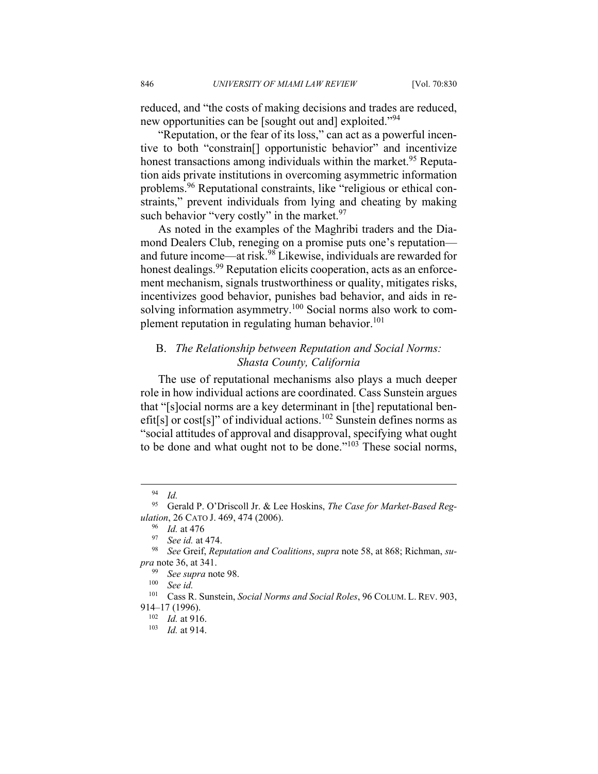reduced, and "the costs of making decisions and trades are reduced, new opportunities can be [sought out and] exploited."<sup>94</sup>

"Reputation, or the fear of its loss," can act as a powerful incentive to both "constrain[] opportunistic behavior" and incentivize honest transactions among individuals within the market.<sup>95</sup> Reputation aids private institutions in overcoming asymmetric information problems.96 Reputational constraints, like "religious or ethical constraints," prevent individuals from lying and cheating by making such behavior "very costly" in the market.<sup>97</sup>

As noted in the examples of the Maghribi traders and the Diamond Dealers Club, reneging on a promise puts one's reputation and future income—at risk.98 Likewise, individuals are rewarded for honest dealings.<sup>99</sup> Reputation elicits cooperation, acts as an enforcement mechanism, signals trustworthiness or quality, mitigates risks, incentivizes good behavior, punishes bad behavior, and aids in resolving information asymmetry.<sup>100</sup> Social norms also work to complement reputation in regulating human behavior.<sup>101</sup>

## B. *The Relationship between Reputation and Social Norms: Shasta County, California*

The use of reputational mechanisms also plays a much deeper role in how individual actions are coordinated. Cass Sunstein argues that "[s]ocial norms are a key determinant in [the] reputational benefit[s] or cost[s]" of individual actions.<sup>102</sup> Sunstein defines norms as "social attitudes of approval and disapproval, specifying what ought to be done and what ought not to be done."103 These social norms,

 <sup>94</sup> *Id.*

<sup>95</sup> Gerald P. O'Driscoll Jr. & Lee Hoskins, *The Case for Market-Based Regulation*, 26 CATO J. 469, 474 (2006).<br><sup>96</sup> *Id.* at 476<br><sup>97</sup> *See id.* at 474.<br><sup>98</sup> *See* Greif, *Reputation and Coalitions*, *supra* note 58, at 868; Richman, *su-*

*pra* note 36, at 341.

<sup>99</sup> *See supra* note 98. 100 *See id.*

<sup>101</sup> Cass R. Sunstein, *Social Norms and Social Roles*, 96 COLUM. L. REV. 903,

<sup>914–17 (1996). 102</sup> *Id.* at 916. 103 *Id.* at 914.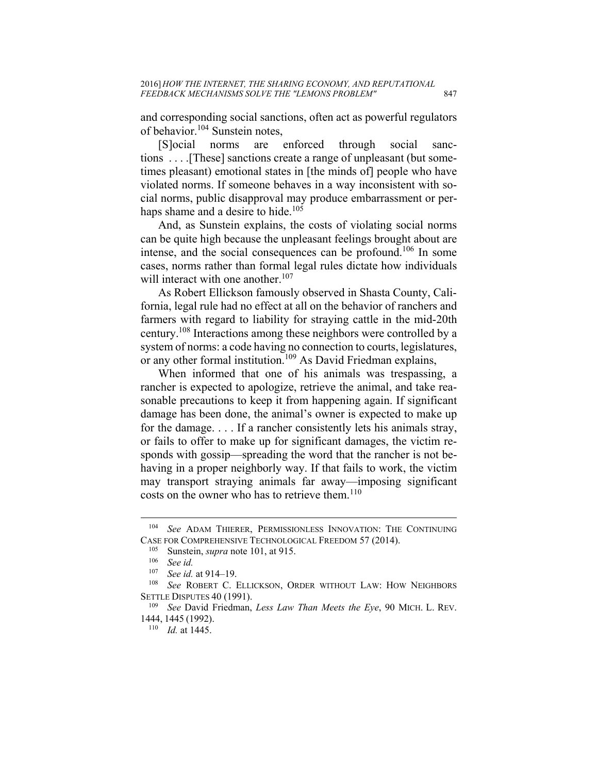and corresponding social sanctions, often act as powerful regulators of behavior.<sup>104</sup> Sunstein notes,

[S]ocial norms are enforced through social sanctions . . . .[These] sanctions create a range of unpleasant (but sometimes pleasant) emotional states in [the minds of] people who have violated norms. If someone behaves in a way inconsistent with social norms, public disapproval may produce embarrassment or perhaps shame and a desire to hide.<sup>105</sup>

And, as Sunstein explains, the costs of violating social norms can be quite high because the unpleasant feelings brought about are intense, and the social consequences can be profound.<sup>106</sup> In some cases, norms rather than formal legal rules dictate how individuals will interact with one another.<sup>107</sup>

As Robert Ellickson famously observed in Shasta County, California, legal rule had no effect at all on the behavior of ranchers and farmers with regard to liability for straying cattle in the mid-20th century.108 Interactions among these neighbors were controlled by a system of norms: a code having no connection to courts, legislatures, or any other formal institution.<sup>109</sup> As David Friedman explains,

When informed that one of his animals was trespassing, a rancher is expected to apologize, retrieve the animal, and take reasonable precautions to keep it from happening again. If significant damage has been done, the animal's owner is expected to make up for the damage. . . . If a rancher consistently lets his animals stray, or fails to offer to make up for significant damages, the victim responds with gossip—spreading the word that the rancher is not behaving in a proper neighborly way. If that fails to work, the victim may transport straying animals far away—imposing significant costs on the owner who has to retrieve them.<sup>110</sup>

<sup>104</sup> *See* ADAM THIERER, PERMISSIONLESS INNOVATION: THE CONTINUING CASE FOR COMPREHENSIVE TECHNOLOGICAL FREEDOM 57 (2014).<br><sup>105</sup> Sunstein, *supra* note 101, at 915.<br><sup>106</sup> See *id.* 

<sup>&</sup>lt;sup>107</sup> See id. at 914–19.<br><sup>108</sup> See ROBERT C. ELLICKSON, ORDER WITHOUT LAW: HOW NEIGHBORS SETTLE DISPUTES 40 (1991). 109 *See* David Friedman, *Less Law Than Meets the Eye*, 90 MICH. L. REV.

<sup>1444,</sup> <sup>1445</sup> (1992). 110 *Id.* at 1445.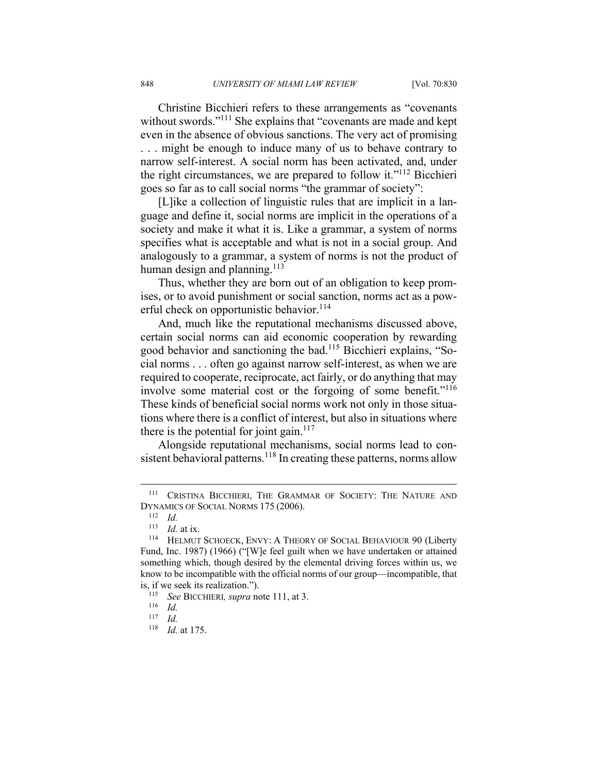Christine Bicchieri refers to these arrangements as "covenants without swords."<sup>111</sup> She explains that "covenants are made and kept" even in the absence of obvious sanctions. The very act of promising . . . might be enough to induce many of us to behave contrary to narrow self-interest. A social norm has been activated, and, under the right circumstances, we are prepared to follow it."112 Bicchieri goes so far as to call social norms "the grammar of society":

[L]ike a collection of linguistic rules that are implicit in a language and define it, social norms are implicit in the operations of a society and make it what it is. Like a grammar, a system of norms specifies what is acceptable and what is not in a social group. And analogously to a grammar, a system of norms is not the product of human design and planning.<sup>113</sup>

Thus, whether they are born out of an obligation to keep promises, or to avoid punishment or social sanction, norms act as a powerful check on opportunistic behavior.<sup>114</sup>

And, much like the reputational mechanisms discussed above, certain social norms can aid economic cooperation by rewarding good behavior and sanctioning the bad.115 Bicchieri explains, "Social norms . . . often go against narrow self-interest, as when we are required to cooperate, reciprocate, act fairly, or do anything that may involve some material cost or the forgoing of some benefit."<sup>116</sup> These kinds of beneficial social norms work not only in those situations where there is a conflict of interest, but also in situations where there is the potential for joint gain.<sup>117</sup>

Alongside reputational mechanisms, social norms lead to consistent behavioral patterns.<sup>118</sup> In creating these patterns, norms allow

1

<sup>111</sup> CRISTINA BICCHIERI, THE GRAMMAR OF SOCIETY: THE NATURE AND DYNAMICS OF SOCIAL NORMS 175 (2006).<br><sup>112</sup> *Id.*<br><sup>113</sup> *Id.* at ix.

<sup>&</sup>lt;sup>114</sup> HELMUT SCHOECK, ENVY: A THEORY OF SOCIAL BEHAVIOUR 90 (Liberty Fund, Inc. 1987) (1966) ("[W]e feel guilt when we have undertaken or attained something which, though desired by the elemental driving forces within us, we know to be incompatible with the official norms of our group—incompatible, that is, if we seek its realization.").<br><sup>115</sup> See BICCHIERI, supra note 111, at 3.<br><sup>116</sup> Id.

 $\frac{117}{118}$  *Id.* 

*Id.* at 175.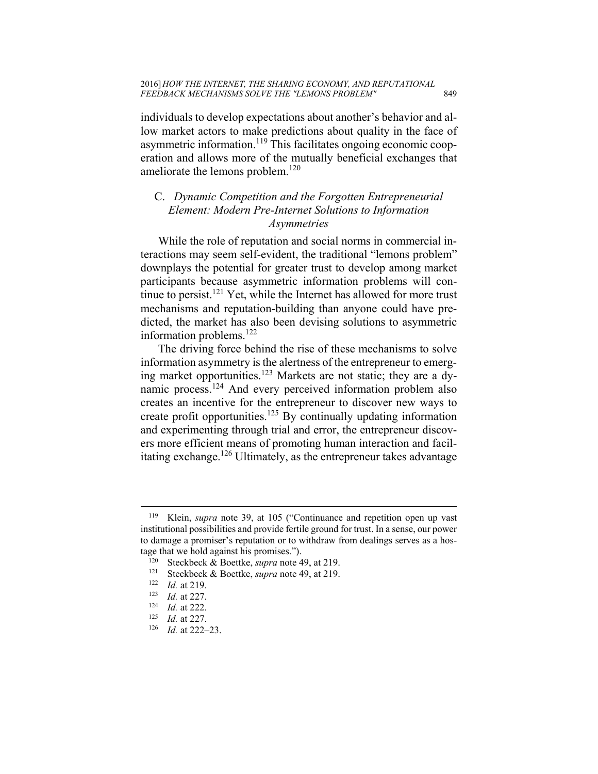individuals to develop expectations about another's behavior and allow market actors to make predictions about quality in the face of asymmetric information.<sup>119</sup> This facilitates ongoing economic cooperation and allows more of the mutually beneficial exchanges that ameliorate the lemons problem.<sup>120</sup>

## C. *Dynamic Competition and the Forgotten Entrepreneurial Element: Modern Pre-Internet Solutions to Information Asymmetries*

While the role of reputation and social norms in commercial interactions may seem self-evident, the traditional "lemons problem" downplays the potential for greater trust to develop among market participants because asymmetric information problems will continue to persist.<sup>121</sup> Yet, while the Internet has allowed for more trust mechanisms and reputation-building than anyone could have predicted, the market has also been devising solutions to asymmetric information problems. $^{122}$ 

The driving force behind the rise of these mechanisms to solve information asymmetry is the alertness of the entrepreneur to emerging market opportunities.<sup>123</sup> Markets are not static; they are a dynamic process.<sup>124</sup> And every perceived information problem also creates an incentive for the entrepreneur to discover new ways to create profit opportunities.125 By continually updating information and experimenting through trial and error, the entrepreneur discovers more efficient means of promoting human interaction and facilitating exchange.<sup>126</sup> Ultimately, as the entrepreneur takes advantage

<sup>119</sup> Klein, *supra* note 39, at 105 ("Continuance and repetition open up vast institutional possibilities and provide fertile ground for trust. In a sense, our power to damage a promiser's reputation or to withdraw from dealings serves as a hostage that we hold against his promises.").<br><sup>120</sup> Steckbeck & Boettke, *supra* note 49, at 219.<br><sup>121</sup> Steckbeck & Boettke, *supra* note 49, at 219.<br><sup>122</sup> Id. at 227.<br><sup>124</sup> Id. at 222.<br><sup>125</sup> Id. at 222-23.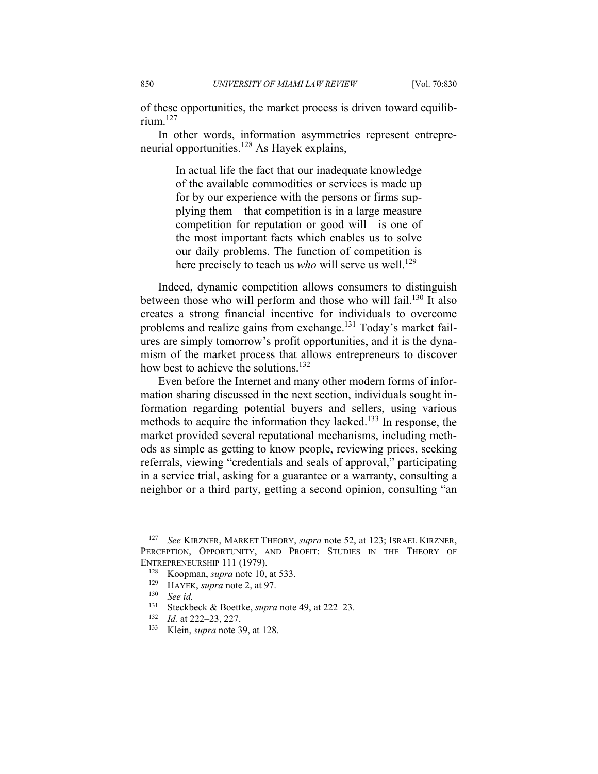of these opportunities, the market process is driven toward equilibrium $127$ 

In other words, information asymmetries represent entrepreneurial opportunities.<sup>128</sup> As Hayek explains,

> In actual life the fact that our inadequate knowledge of the available commodities or services is made up for by our experience with the persons or firms supplying them—that competition is in a large measure competition for reputation or good will—is one of the most important facts which enables us to solve our daily problems. The function of competition is here precisely to teach us *who* will serve us well.<sup>129</sup>

Indeed, dynamic competition allows consumers to distinguish between those who will perform and those who will fail.<sup>130</sup> It also creates a strong financial incentive for individuals to overcome problems and realize gains from exchange.<sup>131</sup> Today's market failures are simply tomorrow's profit opportunities, and it is the dynamism of the market process that allows entrepreneurs to discover how best to achieve the solutions.<sup>132</sup>

Even before the Internet and many other modern forms of information sharing discussed in the next section, individuals sought information regarding potential buyers and sellers, using various methods to acquire the information they lacked.<sup>133</sup> In response, the market provided several reputational mechanisms, including methods as simple as getting to know people, reviewing prices, seeking referrals, viewing "credentials and seals of approval," participating in a service trial, asking for a guarantee or a warranty, consulting a neighbor or a third party, getting a second opinion, consulting "an

<sup>127</sup> *See* KIRZNER, MARKET THEORY, *supra* note 52, at 123; ISRAEL KIRZNER, PERCEPTION, OPPORTUNITY, AND PROFIT: STUDIES IN THE THEORY OF ENTREPRENEURSHIP 111 (1979).

<sup>128</sup> Koopman, *supra* note 10, at 533.<br>
<sup>129</sup> HAYEK, *supra* note 2, at 97.<br>
<sup>130</sup> *See id.*<br>
<sup>131</sup> Stockbook & Poettko supra pote

<sup>131</sup> Steckbeck & Boettke, *supra* note 49, at 222–23. 132 *Id.* at 222–23, 227. 133 Klein, *supra* note 39, at 128.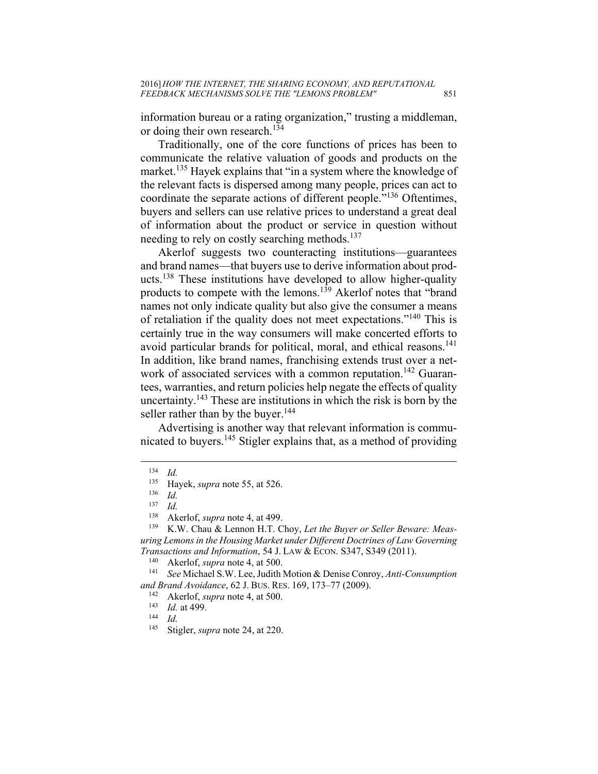information bureau or a rating organization," trusting a middleman, or doing their own research.<sup>134</sup>

Traditionally, one of the core functions of prices has been to communicate the relative valuation of goods and products on the market.<sup>135</sup> Hayek explains that "in a system where the knowledge of the relevant facts is dispersed among many people, prices can act to coordinate the separate actions of different people."136 Oftentimes, buyers and sellers can use relative prices to understand a great deal of information about the product or service in question without needing to rely on costly searching methods.<sup>137</sup>

Akerlof suggests two counteracting institutions—guarantees and brand names—that buyers use to derive information about products.138 These institutions have developed to allow higher-quality products to compete with the lemons.139 Akerlof notes that "brand names not only indicate quality but also give the consumer a means of retaliation if the quality does not meet expectations."140 This is certainly true in the way consumers will make concerted efforts to avoid particular brands for political, moral, and ethical reasons.<sup>141</sup> In addition, like brand names, franchising extends trust over a network of associated services with a common reputation.<sup>142</sup> Guarantees, warranties, and return policies help negate the effects of quality uncertainty.<sup>143</sup> These are institutions in which the risk is born by the seller rather than by the buyer.<sup>144</sup>

Advertising is another way that relevant information is communicated to buyers.145 Stigler explains that, as a method of providing

1

 $\frac{134}{135}$  *Id.* 

<sup>135</sup> Hayek, *supra* note 55, at 526. 136 *Id.* 

 $\frac{137}{138}$  *Id.* 

<sup>&</sup>lt;sup>138</sup> Akerlof, *supra* note 4, at 499.<br><sup>139</sup> K.W. Chau & Lennon H.T. Choy, *Let the Buyer or Seller Beware: Measuring Lemons in the Housing Market under Different Doctrines of Law Governing Transactions and Information*, 54 J. LAW & ECON. S347, S349 (2011).<br><sup>140</sup> Akerlof, *supra* note 4, at 500.<br><sup>141</sup> *See* Michael S.W. Lee, Judith Motion & Denise Conroy, *Anti-Consumption* 

*and Brand Avoidance*, 62 J. BUS. RES. 169, 173–77 (2009).<br><sup>142</sup> Akerlof, *supra* note 4, at 500.<br><sup>143</sup> *Id.* at 499.<br><sup>144</sup> *Id.* 

<sup>145</sup> Stigler, *supra* note 24, at 220.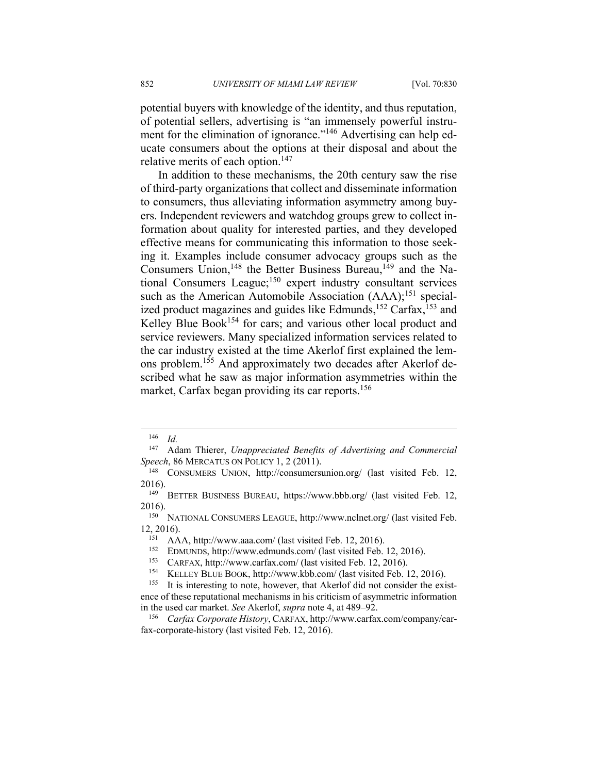potential buyers with knowledge of the identity, and thus reputation, of potential sellers, advertising is "an immensely powerful instrument for the elimination of ignorance."<sup>146</sup> Advertising can help educate consumers about the options at their disposal and about the relative merits of each option.<sup>147</sup>

In addition to these mechanisms, the 20th century saw the rise of third-party organizations that collect and disseminate information to consumers, thus alleviating information asymmetry among buyers. Independent reviewers and watchdog groups grew to collect information about quality for interested parties, and they developed effective means for communicating this information to those seeking it. Examples include consumer advocacy groups such as the Consumers Union,<sup>148</sup> the Better Business Bureau,<sup>149</sup> and the National Consumers League;<sup>150</sup> expert industry consultant services such as the American Automobile Association (AAA);<sup>151</sup> specialized product magazines and guides like Edmunds,<sup>152</sup> Carfax,<sup>153</sup> and Kelley Blue Book<sup>154</sup> for cars; and various other local product and service reviewers. Many specialized information services related to the car industry existed at the time Akerlof first explained the lemons problem.<sup>155</sup> And approximately two decades after Akerlof described what he saw as major information asymmetries within the market, Carfax began providing its car reports.<sup>156</sup>

 $\frac{146}{147}$  *Id.* 

Adam Thierer, *Unappreciated Benefits of Advertising and Commercial Speech*, 86 MERCATUS ON POLICY 1, 2 (2011). 148 CONSUMERS UNION, http://consumersunion.org/ (last visited Feb. 12,

<sup>2016). 149</sup> BETTER BUSINESS BUREAU, https://www.bbb.org/ (last visited Feb. 12,

<sup>2016). 150</sup> NATIONAL CONSUMERS LEAGUE, http://www.nclnet.org/ (last visited Feb. 12, 2016).<br>
<sup>151</sup> AAA, http://www.aaa.com/ (last visited Feb. 12, 2016).<br>
<sup>152</sup> EDMUNDS, http://www.edmunds.com/ (last visited Feb. 12, 2016).<br>
<sup>153</sup> CARFAX, http://www.carfax.com/ (last visited Feb. 12, 2016).<br>
<sup>154</sup> KEL

ence of these reputational mechanisms in his criticism of asymmetric information in the used car market. *See* Akerlof, *supra* note 4, at 489–92.<br><sup>156</sup> *Carfax Corporate History*, CARFAX, http://www.carfax.com/company/car-

fax-corporate-history (last visited Feb. 12, 2016).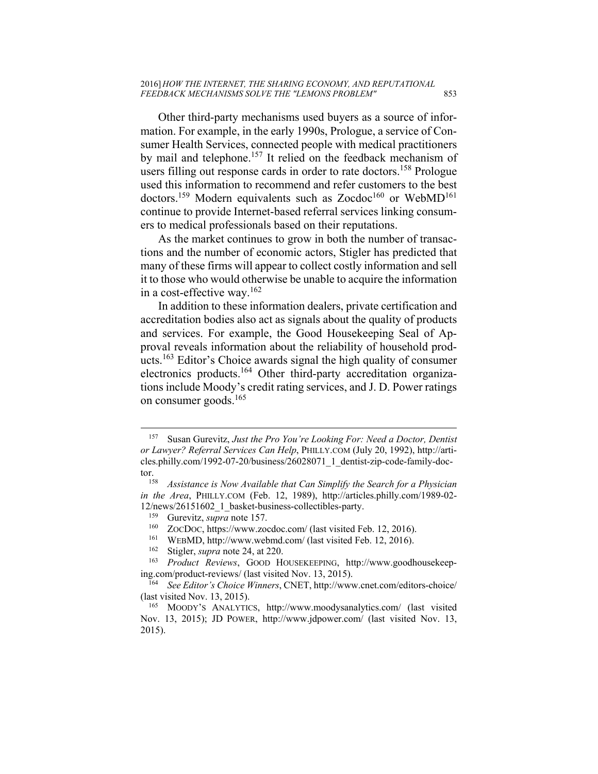Other third-party mechanisms used buyers as a source of information. For example, in the early 1990s, Prologue, a service of Consumer Health Services, connected people with medical practitioners by mail and telephone.<sup>157</sup> It relied on the feedback mechanism of users filling out response cards in order to rate doctors.<sup>158</sup> Prologue used this information to recommend and refer customers to the best doctors.<sup>159</sup> Modern equivalents such as Zocdoc<sup>160</sup> or WebMD<sup>161</sup> continue to provide Internet-based referral services linking consumers to medical professionals based on their reputations.

As the market continues to grow in both the number of transactions and the number of economic actors, Stigler has predicted that many of these firms will appear to collect costly information and sell it to those who would otherwise be unable to acquire the information in a cost-effective way.162

In addition to these information dealers, private certification and accreditation bodies also act as signals about the quality of products and services. For example, the Good Housekeeping Seal of Approval reveals information about the reliability of household products.163 Editor's Choice awards signal the high quality of consumer electronics products.164 Other third-party accreditation organizations include Moody's credit rating services, and J. D. Power ratings on consumer goods.165

<sup>157</sup> Susan Gurevitz, *Just the Pro You're Looking For: Need a Doctor, Dentist or Lawyer? Referral Services Can Help*, PHILLY.COM (July 20, 1992), http://articles.philly.com/1992-07-20/business/26028071\_1\_dentist-zip-code-family-doc-

tor. 158 *Assistance is Now Available that Can Simplify the Search for a Physician in the Area*, PHILLY.COM (Feb. 12, 1989), http://articles.philly.com/1989-02- 12/news/26151602\_1\_basket-business-collectibles-party.<br><sup>159</sup> Gurevitz, *supra* note 157.<br><sup>160</sup> ZOCDOC, https://www.zocdoc.com/ (last visited Feb. 12, 2016).<br><sup>161</sup> WEBMD, http://www.webmd.com/ (last visited Feb. 12, 2016).

ing.com/product-reviews/ (last visited Nov. 13, 2015). 164 *See Editor's Choice Winners*, CNET, http://www.cnet.com/editors-choice/

<sup>(</sup>last visited Nov. 13, 2015).

<sup>165</sup> MOODY'S ANALYTICS, http://www.moodysanalytics.com/ (last visited Nov. 13, 2015); JD POWER, http://www.jdpower.com/ (last visited Nov. 13, 2015).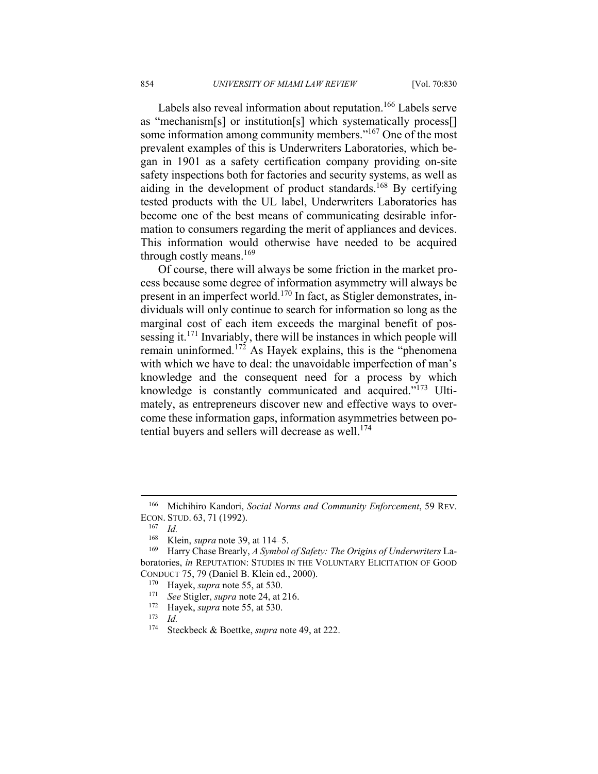Labels also reveal information about reputation.<sup>166</sup> Labels serve as "mechanism[s] or institution[s] which systematically process[] some information among community members."<sup>167</sup> One of the most prevalent examples of this is Underwriters Laboratories, which began in 1901 as a safety certification company providing on-site safety inspections both for factories and security systems, as well as aiding in the development of product standards.<sup>168</sup> By certifying tested products with the UL label, Underwriters Laboratories has become one of the best means of communicating desirable information to consumers regarding the merit of appliances and devices. This information would otherwise have needed to be acquired through costly means.<sup>169</sup>

Of course, there will always be some friction in the market process because some degree of information asymmetry will always be present in an imperfect world.170 In fact, as Stigler demonstrates, individuals will only continue to search for information so long as the marginal cost of each item exceeds the marginal benefit of possessing it.171 Invariably, there will be instances in which people will remain uninformed.<sup>172</sup> As Hayek explains, this is the "phenomena" with which we have to deal: the unavoidable imperfection of man's knowledge and the consequent need for a process by which knowledge is constantly communicated and acquired."173 Ultimately, as entrepreneurs discover new and effective ways to overcome these information gaps, information asymmetries between potential buyers and sellers will decrease as well.<sup>174</sup>

<sup>166</sup> Michihiro Kandori, *Social Norms and Community Enforcement*, 59 REV. ECON. STUD. 63, <sup>71</sup> (1992). 167 *Id.*

<sup>&</sup>lt;sup>168</sup> Klein, *supra* note 39, at 114–5.<br><sup>169</sup> Harry Chase Brearly, *A Symbol of Safety: The Origins of Underwriters* Laboratories, *in* REPUTATION: STUDIES IN THE VOLUNTARY ELICITATION OF GOOD CONDUCT 75, 79 (Daniel B. Klein ed., 2000). 170 Hayek, *supra* note 55, at 530. 171 *See* Stigler, *supra* note 24, at 216. 172 Hayek, *supra* note 55, at 530. 173 *Id.*

<sup>174</sup> Steckbeck & Boettke, *supra* note 49, at 222.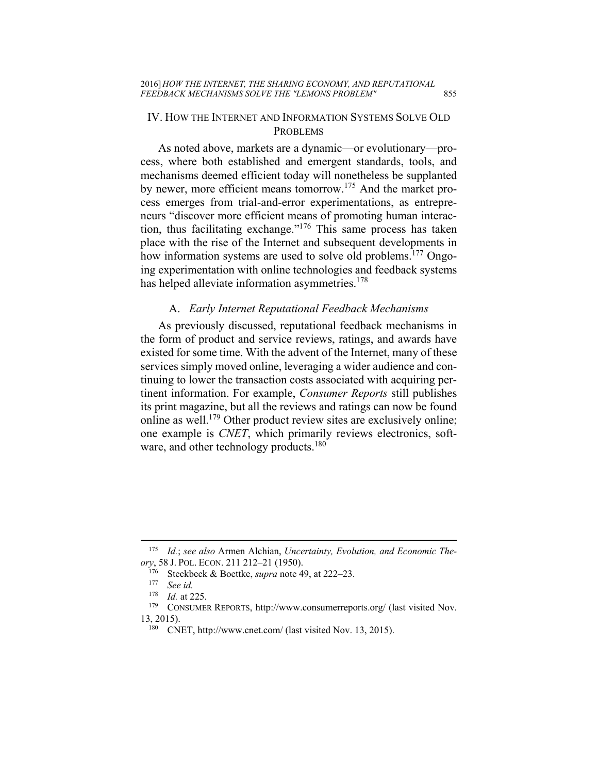#### IV. HOW THE INTERNET AND INFORMATION SYSTEMS SOLVE OLD PROBLEMS

As noted above, markets are a dynamic—or evolutionary—process, where both established and emergent standards, tools, and mechanisms deemed efficient today will nonetheless be supplanted by newer, more efficient means tomorrow.175 And the market process emerges from trial-and-error experimentations, as entrepreneurs "discover more efficient means of promoting human interaction, thus facilitating exchange."176 This same process has taken place with the rise of the Internet and subsequent developments in how information systems are used to solve old problems.<sup>177</sup> Ongoing experimentation with online technologies and feedback systems has helped alleviate information asymmetries.<sup>178</sup>

#### A. *Early Internet Reputational Feedback Mechanisms*

As previously discussed, reputational feedback mechanisms in the form of product and service reviews, ratings, and awards have existed for some time. With the advent of the Internet, many of these services simply moved online, leveraging a wider audience and continuing to lower the transaction costs associated with acquiring pertinent information. For example, *Consumer Reports* still publishes its print magazine, but all the reviews and ratings can now be found online as well.<sup>179</sup> Other product review sites are exclusively online; one example is *CNET*, which primarily reviews electronics, software, and other technology products.<sup>180</sup>

<u>.</u>

<sup>175</sup> *Id.*; *see also* Armen Alchian, *Uncertainty, Evolution, and Economic Theory*, 58 J. POL. ECON. 211 212–21 (1950).<br><sup>176</sup> Steckbeck & Boettke, *supra* note 49, at 222–23.<br><sup>177</sup> See id.<br><sup>178</sup> Id at 225

<sup>&</sup>lt;sup>178</sup> *Id.* at 225.<br><sup>179</sup> CONSUMER REPORTS, http://www.consumerreports.org/ (last visited Nov. 13, 2015).<br><sup>180</sup> CNET, http://www.cnet.com/ (last visited Nov. 13, 2015).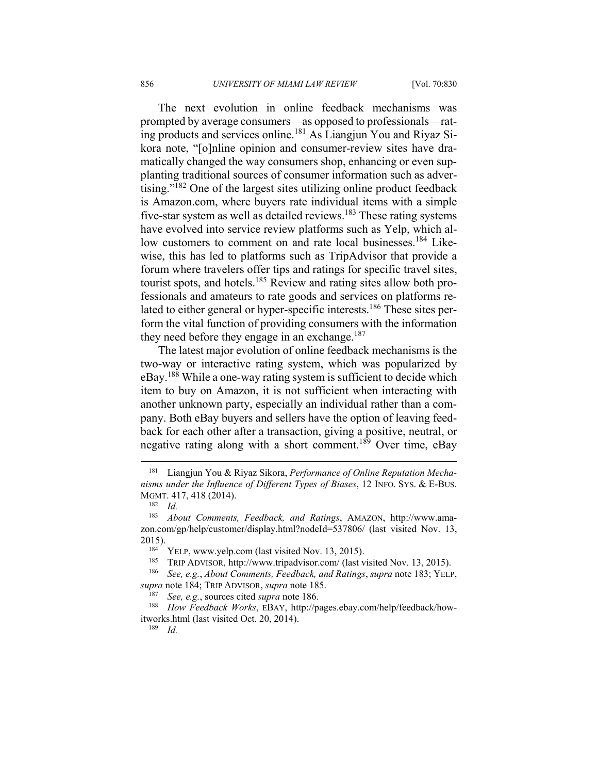The next evolution in online feedback mechanisms was prompted by average consumers—as opposed to professionals—rating products and services online.181 As Liangjun You and Riyaz Sikora note, "[o]nline opinion and consumer-review sites have dramatically changed the way consumers shop, enhancing or even supplanting traditional sources of consumer information such as advertising."182 One of the largest sites utilizing online product feedback is Amazon.com, where buyers rate individual items with a simple five-star system as well as detailed reviews.<sup>183</sup> These rating systems have evolved into service review platforms such as Yelp, which allow customers to comment on and rate local businesses.<sup>184</sup> Likewise, this has led to platforms such as TripAdvisor that provide a forum where travelers offer tips and ratings for specific travel sites, tourist spots, and hotels.185 Review and rating sites allow both professionals and amateurs to rate goods and services on platforms related to either general or hyper-specific interests.<sup>186</sup> These sites perform the vital function of providing consumers with the information they need before they engage in an exchange.<sup>187</sup>

The latest major evolution of online feedback mechanisms is the two-way or interactive rating system, which was popularized by eBay.188 While a one-way rating system is sufficient to decide which item to buy on Amazon, it is not sufficient when interacting with another unknown party, especially an individual rather than a company. Both eBay buyers and sellers have the option of leaving feedback for each other after a transaction, giving a positive, neutral, or negative rating along with a short comment.<sup>189</sup> Over time, eBay

1

Liangjun You & Riyaz Sikora, *Performance of Online Reputation Mechanisms under the Influence of Different Types of Biases*, 12 INFO. SYS. & E-BUS. MGMT. 417, 418 (2014). 182 *Id.* 

<sup>183</sup> *About Comments, Feedback, and Ratings*, AMAZON, http://www.amazon.com/gp/help/customer/display.html?nodeId=537806/ (last visited Nov. 13, 2015).<br><sup>184</sup> YELP, www.yelp.com (last visited Nov. 13, 2015).<br><sup>185</sup> TRIP ADVISOR, http://www.tripadvisor.com/ (last visited Nov. 13, 2015).<br><sup>186</sup> See, e.g., *About Comments, Feedback, and Ratings, supra* note 183; YELP,

*supra* note 184; TRIP ADVISOR, *supra* note 185.<br><sup>187</sup> *See, e.g.*, sources cited *supra* note 186.<br><sup>188</sup> *How Feedback Works*, EBAY, http://pages.ebay.com/help/feedback/howitworks.html (last visited Oct. 20, 2014). 189 *Id.*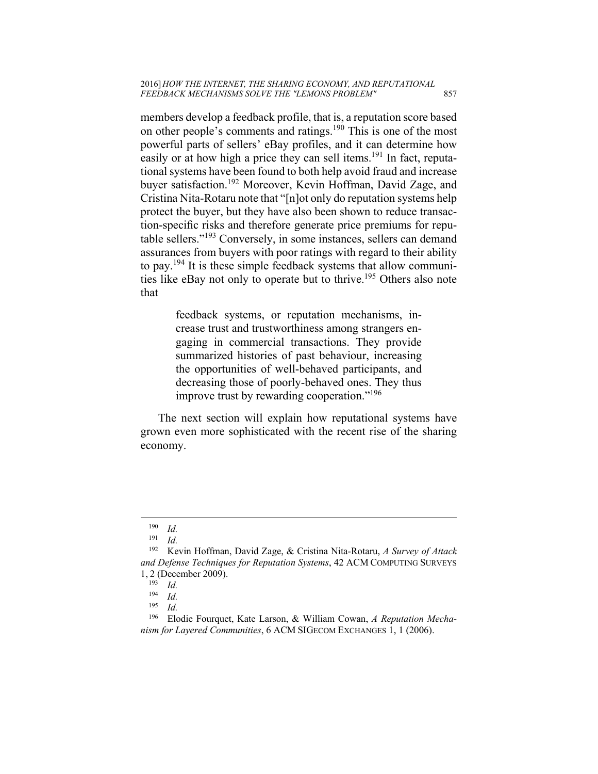members develop a feedback profile, that is, a reputation score based on other people's comments and ratings.<sup>190</sup> This is one of the most powerful parts of sellers' eBay profiles, and it can determine how easily or at how high a price they can sell items.<sup>191</sup> In fact, reputational systems have been found to both help avoid fraud and increase buyer satisfaction.<sup>192</sup> Moreover, Kevin Hoffman, David Zage, and Cristina Nita-Rotaru note that "[n]ot only do reputation systems help protect the buyer, but they have also been shown to reduce transaction-specific risks and therefore generate price premiums for reputable sellers."193 Conversely, in some instances, sellers can demand assurances from buyers with poor ratings with regard to their ability to pay.194 It is these simple feedback systems that allow communities like eBay not only to operate but to thrive.195 Others also note that

> feedback systems, or reputation mechanisms, increase trust and trustworthiness among strangers engaging in commercial transactions. They provide summarized histories of past behaviour, increasing the opportunities of well-behaved participants, and decreasing those of poorly-behaved ones. They thus improve trust by rewarding cooperation."196

The next section will explain how reputational systems have grown even more sophisticated with the recent rise of the sharing economy.

 $\frac{190}{191}$  *Id.* 

 $\frac{191}{192}$  *Id.* 

<sup>192</sup> Kevin Hoffman, David Zage, & Cristina Nita-Rotaru, *A Survey of Attack and Defense Techniques for Reputation Systems*, 42 ACM COMPUTING SURVEYS 1, 2 (December 2009).

 $\frac{193}{194}$  *Id.* 

 $\frac{194}{195}$  *Id.* 

 $\frac{195}{196}$  *Id.* 

<sup>196</sup> Elodie Fourquet, Kate Larson, & William Cowan, *A Reputation Mechanism for Layered Communities*, 6 ACM SIGECOM EXCHANGES 1, 1 (2006).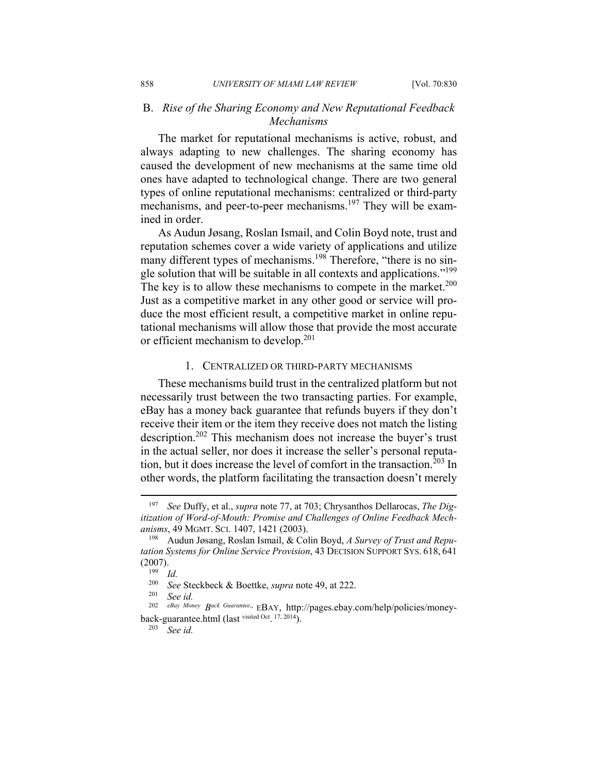## B. *Rise of the Sharing Economy and New Reputational Feedback Mechanisms*

The market for reputational mechanisms is active, robust, and always adapting to new challenges. The sharing economy has caused the development of new mechanisms at the same time old ones have adapted to technological change. There are two general types of online reputational mechanisms: centralized or third-party mechanisms, and peer-to-peer mechanisms.<sup>197</sup> They will be examined in order.

As Audun Jøsang, Roslan Ismail, and Colin Boyd note, trust and reputation schemes cover a wide variety of applications and utilize many different types of mechanisms.<sup>198</sup> Therefore, "there is no single solution that will be suitable in all contexts and applications."<sup>199</sup> The key is to allow these mechanisms to compete in the market.<sup>200</sup> Just as a competitive market in any other good or service will produce the most efficient result, a competitive market in online reputational mechanisms will allow those that provide the most accurate or efficient mechanism to develop.<sup>201</sup>

#### 1.CENTRALIZED OR THIRD-PARTY MECHANISMS

These mechanisms build trust in the centralized platform but not necessarily trust between the two transacting parties. For example, eBay has a money back guarantee that refunds buyers if they don't receive their item or the item they receive does not match the listing description.202 This mechanism does not increase the buyer's trust in the actual seller, nor does it increase the seller's personal reputation, but it does increase the level of comfort in the transaction.<sup>203</sup> In other words, the platform facilitating the transaction doesn't merely

<sup>197</sup> *See* Duffy, et al., *supra* note 77, at 703; Chrysanthos Dellarocas, *The Digitization of Word-of-Mouth: Promise and Challenges of Online Feedback Mechanisms*, 49 MGMT. SCI. 1407, 1421 (2003). 198 Audun Jøsang, Roslan Ismail, & Colin Boyd, *A Survey of Trust and Repu-*

*tation Systems for Online Service Provision*, 43 DECISION SUPPORT SYS. 618, 641  $(2007)$ .<br>
<sup>199</sup> *Id.*<br>
<sup>200</sup> So

<sup>200</sup> *See* Steckbeck & Boettke, *supra* note 49, at 222. 201 *See id.*

eBay Money Back Guarantee., EBAY, http://pages.ebay.com/help/policies/moneyback-guarantee.html (last visited Oct. 17, 2014). 203 *See id.*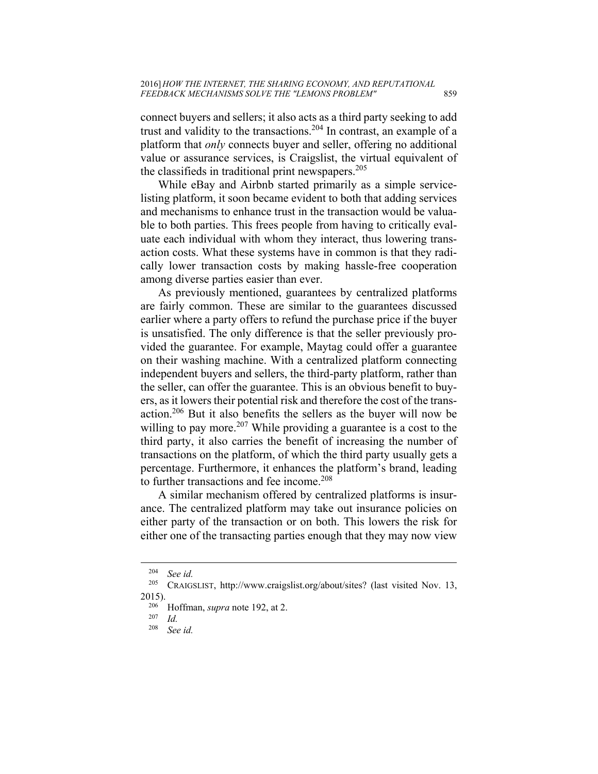connect buyers and sellers; it also acts as a third party seeking to add trust and validity to the transactions.<sup>204</sup> In contrast, an example of a platform that *only* connects buyer and seller, offering no additional value or assurance services, is Craigslist, the virtual equivalent of the classifieds in traditional print newspapers.<sup>205</sup>

While eBay and Airbnb started primarily as a simple servicelisting platform, it soon became evident to both that adding services and mechanisms to enhance trust in the transaction would be valuable to both parties. This frees people from having to critically evaluate each individual with whom they interact, thus lowering transaction costs. What these systems have in common is that they radically lower transaction costs by making hassle-free cooperation among diverse parties easier than ever.

As previously mentioned, guarantees by centralized platforms are fairly common. These are similar to the guarantees discussed earlier where a party offers to refund the purchase price if the buyer is unsatisfied. The only difference is that the seller previously provided the guarantee. For example, Maytag could offer a guarantee on their washing machine. With a centralized platform connecting independent buyers and sellers, the third-party platform, rather than the seller, can offer the guarantee. This is an obvious benefit to buyers, as it lowers their potential risk and therefore the cost of the transaction.206 But it also benefits the sellers as the buyer will now be willing to pay more.<sup>207</sup> While providing a guarantee is a cost to the third party, it also carries the benefit of increasing the number of transactions on the platform, of which the third party usually gets a percentage. Furthermore, it enhances the platform's brand, leading to further transactions and fee income.<sup>208</sup>

A similar mechanism offered by centralized platforms is insurance. The centralized platform may take out insurance policies on either party of the transaction or on both. This lowers the risk for either one of the transacting parties enough that they may now view

<sup>204</sup> *See id.* 

CRAIGSLIST, http://www.craigslist.org/about/sites? (last visited Nov. 13, 2015).<br><sup>206</sup> Hoffman, *supra* note 192, at 2.<br><sup>207</sup> *Id.*<br><sup>208</sup> Seaid

See *id.*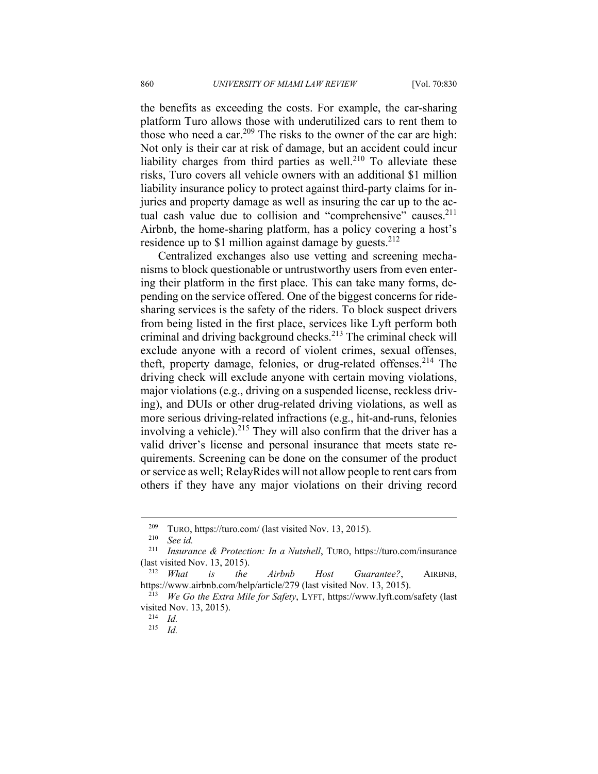the benefits as exceeding the costs. For example, the car-sharing platform Turo allows those with underutilized cars to rent them to those who need a car.<sup>209</sup> The risks to the owner of the car are high: Not only is their car at risk of damage, but an accident could incur liability charges from third parties as well.<sup>210</sup> To alleviate these risks, Turo covers all vehicle owners with an additional \$1 million liability insurance policy to protect against third-party claims for injuries and property damage as well as insuring the car up to the actual cash value due to collision and "comprehensive" causes.<sup>211</sup> Airbnb, the home-sharing platform, has a policy covering a host's residence up to \$1 million against damage by guests. $2^{12}$ 

Centralized exchanges also use vetting and screening mechanisms to block questionable or untrustworthy users from even entering their platform in the first place. This can take many forms, depending on the service offered. One of the biggest concerns for ridesharing services is the safety of the riders. To block suspect drivers from being listed in the first place, services like Lyft perform both criminal and driving background checks.213 The criminal check will exclude anyone with a record of violent crimes, sexual offenses, theft, property damage, felonies, or drug-related offenses.<sup>214</sup> The driving check will exclude anyone with certain moving violations, major violations (e.g., driving on a suspended license, reckless driving), and DUIs or other drug-related driving violations, as well as more serious driving-related infractions (e.g., hit-and-runs, felonies involving a vehicle).<sup>215</sup> They will also confirm that the driver has a valid driver's license and personal insurance that meets state requirements. Screening can be done on the consumer of the product or service as well; RelayRides will not allow people to rent cars from others if they have any major violations on their driving record

<sup>209</sup> TURO, https://turo.com/ (last visited Nov. 13, 2015). 210 *See id.* 

Insurance & Protection: In a Nutshell, TURO, https://turo.com/insurance (last visited Nov. 13, 2015). 212 *What is the Airbnb Host Guarantee?*, AIRBNB,

https://www.airbnb.com/help/article/279 (last visited Nov. 13, 2015). 213 *We Go the Extra Mile for Safety*, LYFT, https://www.lyft.com/safety (last

visited Nov. 13, 2015). 214 *Id.* 

<sup>215</sup> *Id.*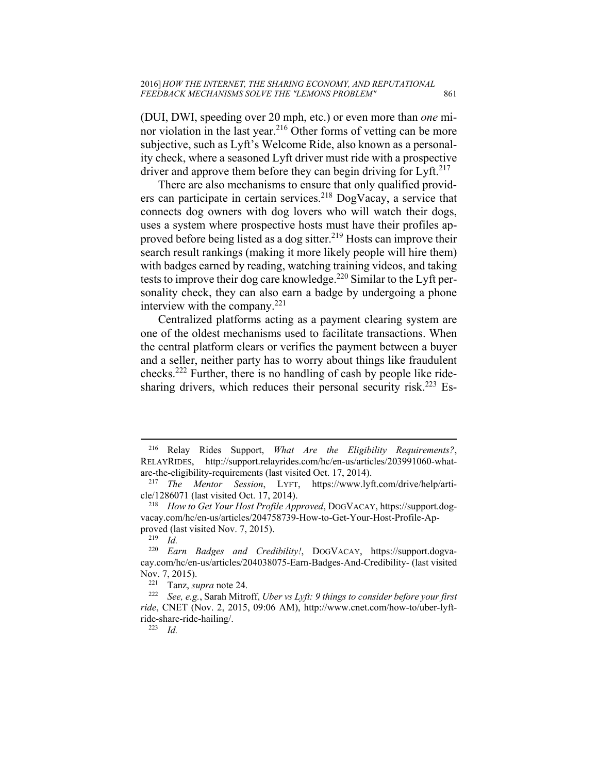(DUI, DWI, speeding over 20 mph, etc.) or even more than *one* minor violation in the last year.<sup>216</sup> Other forms of vetting can be more subjective, such as Lyft's Welcome Ride, also known as a personality check, where a seasoned Lyft driver must ride with a prospective driver and approve them before they can begin driving for Lyft.<sup>217</sup>

There are also mechanisms to ensure that only qualified providers can participate in certain services.<sup>218</sup> DogVacay, a service that connects dog owners with dog lovers who will watch their dogs, uses a system where prospective hosts must have their profiles approved before being listed as a dog sitter.<sup>219</sup> Hosts can improve their search result rankings (making it more likely people will hire them) with badges earned by reading, watching training videos, and taking tests to improve their dog care knowledge.<sup>220</sup> Similar to the Lyft personality check, they can also earn a badge by undergoing a phone interview with the company. $221$ 

Centralized platforms acting as a payment clearing system are one of the oldest mechanisms used to facilitate transactions. When the central platform clears or verifies the payment between a buyer and a seller, neither party has to worry about things like fraudulent checks.222 Further, there is no handling of cash by people like ridesharing drivers, which reduces their personal security risk.<sup>223</sup> Es-

<sup>216</sup> Relay Rides Support, *What Are the Eligibility Requirements?*, RELAYRIDES, http://support.relayrides.com/hc/en-us/articles/203991060-what-

are-the-eligibility-requirements (last visited Oct. 17, 2014).<br><sup>217</sup> *The Mentor Session*, LYFT, https://www.lyft.com/drive/help/arti-<br>cle/1286071 (last visited Oct. 17, 2014).

<sup>&</sup>lt;sup>218</sup> How to Get Your Host Profile Approved, DOGVACAY, https://support.dogvacay.com/hc/en-us/articles/204758739-How-to-Get-Your-Host-Profile-Approved (last visited Nov. 7, 2015).<br><sup>219</sup> *Id.*<br><sup>220</sup> *Earn Badges and Cred* 

Earn Badges and Credibility!, DOGVACAY, https://support.dogvacay.com/hc/en-us/articles/204038075-Earn-Badges-And-Credibility- (last visited Nov. 7, 2015). 221 Tanz, *supra* note 24. 222 *See, e.g.*, Sarah Mitroff, *Uber vs Lyft: 9 things to consider before your first* 

*ride*, CNET (Nov. 2, 2015, 09:06 AM), http://www.cnet.com/how-to/uber-lyftride-share-ride-hailing/. 223 *Id.*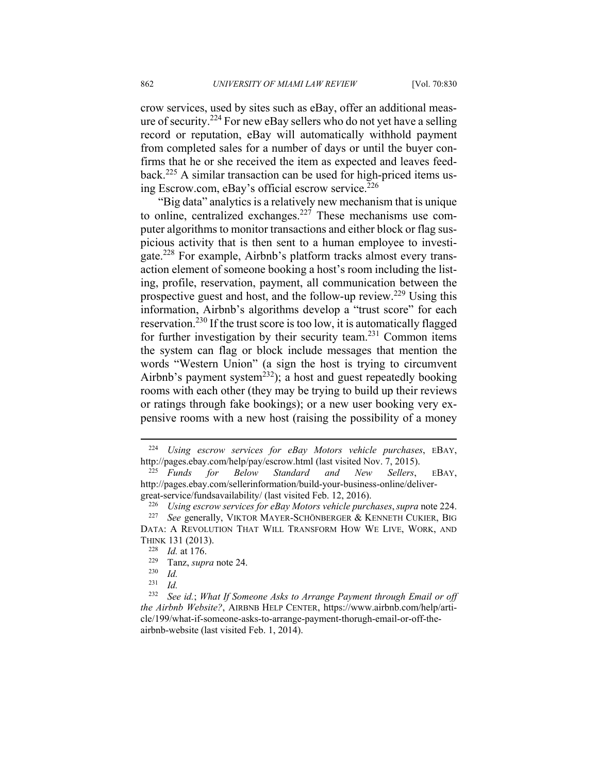crow services, used by sites such as eBay, offer an additional measure of security.224 For new eBay sellers who do not yet have a selling record or reputation, eBay will automatically withhold payment from completed sales for a number of days or until the buyer confirms that he or she received the item as expected and leaves feedback.225 A similar transaction can be used for high-priced items using Escrow.com, eBay's official escrow service.<sup>226</sup>

"Big data" analytics is a relatively new mechanism that is unique to online, centralized exchanges.<sup>227</sup> These mechanisms use computer algorithms to monitor transactions and either block or flag suspicious activity that is then sent to a human employee to investigate.228 For example, Airbnb's platform tracks almost every transaction element of someone booking a host's room including the listing, profile, reservation, payment, all communication between the prospective guest and host, and the follow-up review.229 Using this information, Airbnb's algorithms develop a "trust score" for each reservation.230 If the trust score is too low, it is automatically flagged for further investigation by their security team.231 Common items the system can flag or block include messages that mention the words "Western Union" (a sign the host is trying to circumvent Airbnb's payment system<sup>232</sup>); a host and guest repeatedly booking rooms with each other (they may be trying to build up their reviews or ratings through fake bookings); or a new user booking very expensive rooms with a new host (raising the possibility of a money

<sup>224</sup> *Using escrow services for eBay Motors vehicle purchases*, EBAY, http://pages.ebay.com/help/pay/escrow.html (last visited Nov. 7, 2015). 225 *Funds for Below Standard and New Sellers*, EBAY,

http://pages.ebay.com/sellerinformation/build-your-business-online/deliver-

great-service/fundsavailability/ (last visited Feb. 12, 2016).<br><sup>226</sup> Using escrow services for eBay Motors vehicle purchases, supra note 224.<br><sup>227</sup> See generally, VIKTOR MAYER-SCHÖNBERGER & KENNETH CUKIER, BIG

DATA: A REVOLUTION THAT WILL TRANSFORM HOW WE LIVE, WORK, AND

THINK 131 (2013). 228 *Id.* at 176. 229 Tanz, *supra* note 24. 230 *Id.* 

*Id.* 

<sup>232</sup> *See id.*; *What If Someone Asks to Arrange Payment through Email or off the Airbnb Website?*, AIRBNB HELP CENTER, https://www.airbnb.com/help/article/199/what-if-someone-asks-to-arrange-payment-thorugh-email-or-off-theairbnb-website (last visited Feb. 1, 2014).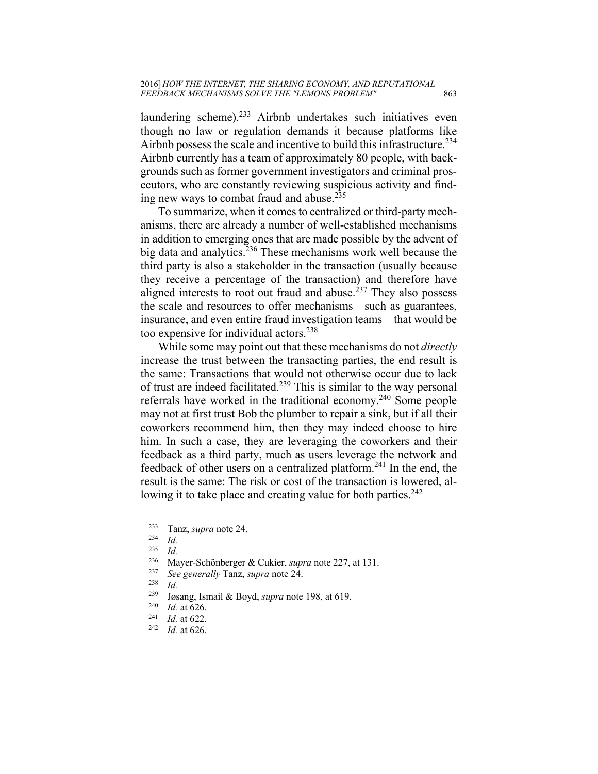laundering scheme). $233$  Airbnb undertakes such initiatives even though no law or regulation demands it because platforms like Airbnb possess the scale and incentive to build this infrastructure.<sup>234</sup> Airbnb currently has a team of approximately 80 people, with backgrounds such as former government investigators and criminal prosecutors, who are constantly reviewing suspicious activity and finding new ways to combat fraud and abuse. $235$ 

To summarize, when it comes to centralized or third-party mechanisms, there are already a number of well-established mechanisms in addition to emerging ones that are made possible by the advent of big data and analytics.<sup>236</sup> These mechanisms work well because the third party is also a stakeholder in the transaction (usually because they receive a percentage of the transaction) and therefore have aligned interests to root out fraud and abuse.<sup>237</sup> They also possess the scale and resources to offer mechanisms—such as guarantees, insurance, and even entire fraud investigation teams—that would be too expensive for individual actors.<sup>238</sup>

While some may point out that these mechanisms do not *directly* increase the trust between the transacting parties, the end result is the same: Transactions that would not otherwise occur due to lack of trust are indeed facilitated.239 This is similar to the way personal referrals have worked in the traditional economy.240 Some people may not at first trust Bob the plumber to repair a sink, but if all their coworkers recommend him, then they may indeed choose to hire him. In such a case, they are leveraging the coworkers and their feedback as a third party, much as users leverage the network and feedback of other users on a centralized platform.241 In the end, the result is the same: The risk or cost of the transaction is lowered, allowing it to take place and creating value for both parties.<sup>242</sup>

<sup>233</sup> Tanz, *supra* note 24. 234 *Id.* 

*Id.* 

<sup>236</sup> Mayer-Schönberger & Cukier, *supra* note 227, at 131. 237 *See generally* Tanz, *supra* note 24. 238 *Id.* 

<sup>239</sup> Jøsang, Ismail & Boyd, *supra* note 198, at 619. 240 *Id.* at 626. 241 *Id.* at 622. 242 *Id.* at 626.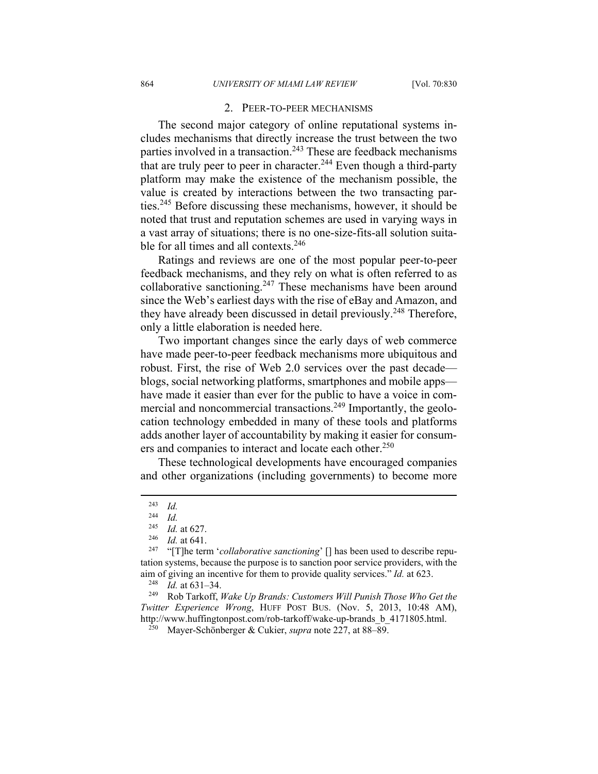#### 2.PEER-TO-PEER MECHANISMS

The second major category of online reputational systems includes mechanisms that directly increase the trust between the two parties involved in a transaction.<sup>243</sup> These are feedback mechanisms that are truly peer to peer in character.<sup>244</sup> Even though a third-party platform may make the existence of the mechanism possible, the value is created by interactions between the two transacting parties.245 Before discussing these mechanisms, however, it should be noted that trust and reputation schemes are used in varying ways in a vast array of situations; there is no one-size-fits-all solution suitable for all times and all contexts.<sup>246</sup>

Ratings and reviews are one of the most popular peer-to-peer feedback mechanisms, and they rely on what is often referred to as collaborative sanctioning.<sup>247</sup> These mechanisms have been around since the Web's earliest days with the rise of eBay and Amazon, and they have already been discussed in detail previously.<sup>248</sup> Therefore, only a little elaboration is needed here.

Two important changes since the early days of web commerce have made peer-to-peer feedback mechanisms more ubiquitous and robust. First, the rise of Web 2.0 services over the past decade blogs, social networking platforms, smartphones and mobile apps have made it easier than ever for the public to have a voice in commercial and noncommercial transactions.<sup>249</sup> Importantly, the geolocation technology embedded in many of these tools and platforms adds another layer of accountability by making it easier for consumers and companies to interact and locate each other.<sup>250</sup>

These technological developments have encouraged companies and other organizations (including governments) to become more

 $\overline{a}$ 

*Twitter Experience Wrong*, HUFF POST BUS. (Nov. 5, 2013, 10:48 AM), http://www.huffingtonpost.com/rob-tarkoff/wake-up-brands\_b\_4171805.html. 250 Mayer-Schönberger & Cukier, *supra* note 227, at 88–89.

 $\frac{243}{244}$  *Id.* 

 $\frac{244}{245}$  *Id.* 

<sup>&</sup>lt;sup>245</sup> *Id.* at 627.<br><sup>246</sup> *Id.* at 641.<br><sup>247</sup> "[T]he term '*collaborative sanctioning*' [] has been used to describe reputation systems, because the purpose is to sanction poor service providers, with the aim of giving an incentive for them to provide quality services." *Id.* at 623.<br><sup>248</sup> *Id.* at 631–34.<br><sup>249</sup> Rob Tarkoff, *Wake Up Brands: Customers Will Punish Those Who Get the*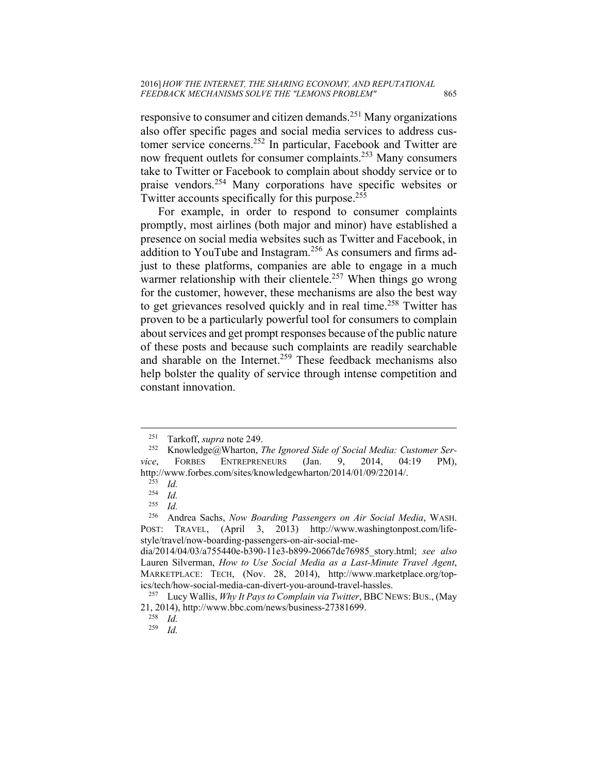responsive to consumer and citizen demands.251 Many organizations also offer specific pages and social media services to address customer service concerns.252 In particular, Facebook and Twitter are now frequent outlets for consumer complaints.253 Many consumers take to Twitter or Facebook to complain about shoddy service or to praise vendors.254 Many corporations have specific websites or Twitter accounts specifically for this purpose.<sup>255</sup>

For example, in order to respond to consumer complaints promptly, most airlines (both major and minor) have established a presence on social media websites such as Twitter and Facebook, in addition to YouTube and Instagram.<sup>256</sup> As consumers and firms adjust to these platforms, companies are able to engage in a much warmer relationship with their clientele.<sup>257</sup> When things go wrong for the customer, however, these mechanisms are also the best way to get grievances resolved quickly and in real time.<sup>258</sup> Twitter has proven to be a particularly powerful tool for consumers to complain about services and get prompt responses because of the public nature of these posts and because such complaints are readily searchable and sharable on the Internet.<sup>259</sup> These feedback mechanisms also help bolster the quality of service through intense competition and constant innovation.

1

<sup>&</sup>lt;sup>251</sup> Tarkoff, *supra* note 249.<br><sup>252</sup> Knowledge@Wharton, *The Ignored Side of Social Media: Customer Service*, FORBES ENTREPRENEURS (Jan. 9, 2014, 04:19 PM), http://www.forbes.com/sites/knowledgewharton/2014/01/09/22014/. 253 *Id.*

 $\frac{254}{255}$  *Id.* 

 $\frac{255}{256}$  *Id.* 

<sup>256</sup> Andrea Sachs, *Now Boarding Passengers on Air Social Media*, WASH. POST: TRAVEL, (April 3, 2013) http://www.washingtonpost.com/lifestyle/travel/now-boarding-passengers-on-air-social-me-

dia/2014/04/03/a755440e-b390-11e3-b899-20667de76985\_story.html; *see also* Lauren Silverman, *How to Use Social Media as a Last-Minute Travel Agent*, MARKETPLACE: TECH, (Nov. 28, 2014), http://www.marketplace.org/topics/tech/how-social-media-can-divert-you-around-travel-hassles.<br><sup>257</sup> Lucy Wallis, *Why It Pays to Complain via Twitter*, BBC NEWS: BUS., (May

<sup>21, 2014),</sup> http://www.bbc.com/news/business-27381699. 258 *Id.*

<sup>259</sup> *Id.*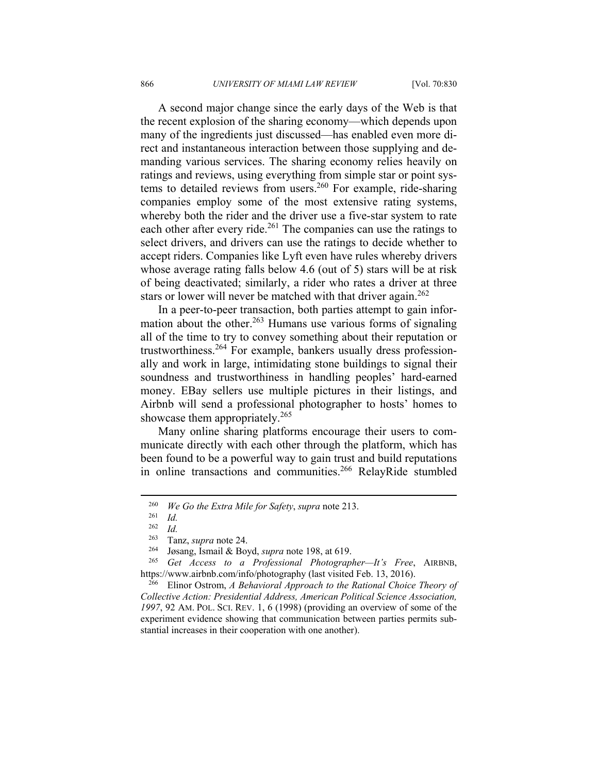A second major change since the early days of the Web is that the recent explosion of the sharing economy—which depends upon many of the ingredients just discussed—has enabled even more direct and instantaneous interaction between those supplying and demanding various services. The sharing economy relies heavily on ratings and reviews, using everything from simple star or point systems to detailed reviews from users.260 For example, ride-sharing companies employ some of the most extensive rating systems, whereby both the rider and the driver use a five-star system to rate each other after every ride.<sup>261</sup> The companies can use the ratings to select drivers, and drivers can use the ratings to decide whether to accept riders. Companies like Lyft even have rules whereby drivers whose average rating falls below 4.6 (out of 5) stars will be at risk of being deactivated; similarly, a rider who rates a driver at three stars or lower will never be matched with that driver again.<sup>262</sup>

In a peer-to-peer transaction, both parties attempt to gain information about the other.<sup>263</sup> Humans use various forms of signaling all of the time to try to convey something about their reputation or trustworthiness.264 For example, bankers usually dress professionally and work in large, intimidating stone buildings to signal their soundness and trustworthiness in handling peoples' hard-earned money. EBay sellers use multiple pictures in their listings, and Airbnb will send a professional photographer to hosts' homes to showcase them appropriately.<sup>265</sup>

Many online sharing platforms encourage their users to communicate directly with each other through the platform, which has been found to be a powerful way to gain trust and build reputations in online transactions and communities.<sup>266</sup> RelayRide stumbled

<sup>260</sup> *We Go the Extra Mile for Safety*, *supra* note 213. 261 *Id.* 

*Id.* 

<sup>263</sup> Tanz, *supra* note 24. 264 Jøsang, Ismail & Boyd, *supra* note 198, at 619. 265 *Get Access to a Professional Photographer—It's Free*, AIRBNB, https://www.airbnb.com/info/photography (last visited Feb. 13, 2016). 266 Elinor Ostrom, *A Behavioral Approach to the Rational Choice Theory of* 

*Collective Action: Presidential Address, American Political Science Association, 1997*, 92 AM. POL. SCI. REV. 1, 6 (1998) (providing an overview of some of the experiment evidence showing that communication between parties permits substantial increases in their cooperation with one another).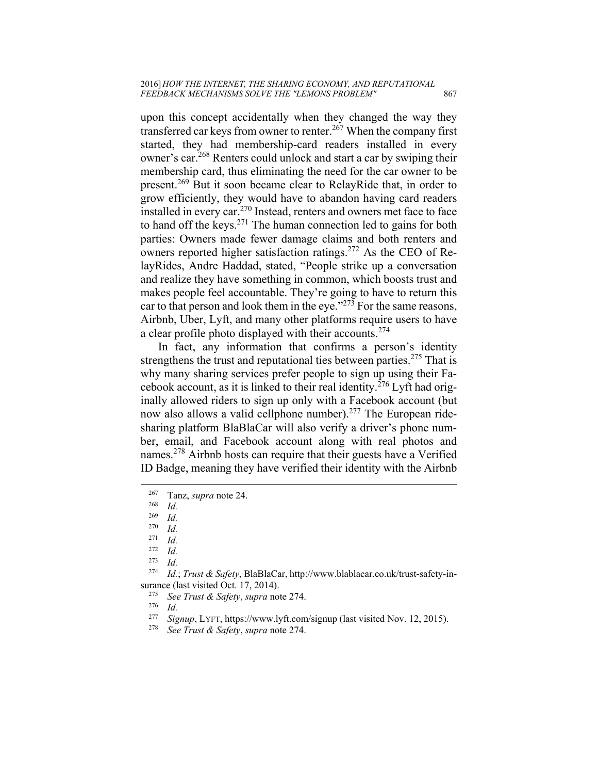upon this concept accidentally when they changed the way they transferred car keys from owner to renter.<sup>267</sup> When the company first started, they had membership-card readers installed in every owner's car.268 Renters could unlock and start a car by swiping their membership card, thus eliminating the need for the car owner to be present.269 But it soon became clear to RelayRide that, in order to grow efficiently, they would have to abandon having card readers installed in every car.<sup>270</sup> Instead, renters and owners met face to face to hand off the keys.271 The human connection led to gains for both parties: Owners made fewer damage claims and both renters and owners reported higher satisfaction ratings.272 As the CEO of RelayRides, Andre Haddad, stated, "People strike up a conversation and realize they have something in common, which boosts trust and makes people feel accountable. They're going to have to return this car to that person and look them in the eye." $273$  For the same reasons, Airbnb, Uber, Lyft, and many other platforms require users to have a clear profile photo displayed with their accounts.<sup>274</sup>

In fact, any information that confirms a person's identity strengthens the trust and reputational ties between parties.<sup>275</sup> That is why many sharing services prefer people to sign up using their Facebook account, as it is linked to their real identity.276 Lyft had originally allowed riders to sign up only with a Facebook account (but now also allows a valid cellphone number).<sup>277</sup> The European ridesharing platform BlaBlaCar will also verify a driver's phone number, email, and Facebook account along with real photos and names.278 Airbnb hosts can require that their guests have a Verified ID Badge, meaning they have verified their identity with the Airbnb

- 
- 
- <sup>277</sup> *Signup*, LYFT, https://www.lyft.com/signup (last visited Nov. 12, 2015). 278 *See Trust & Safety*, *supra* note 274.
- 

<sup>267</sup> Tanz, *supra* note 24. 268 *Id.* 

 $\frac{269}{270}$  *Id.* 

 $\frac{270}{271}$  *Id.* 

 $rac{271}{272}$  *Id.* 

*Id.* 273 *Id.* 

<sup>274</sup> *Id.*; *Trust & Safety*, BlaBlaCar, http://www.blablacar.co.uk/trust-safety-insurance (last visited Oct. 17, 2014).<br><sup>275</sup> See Trust & Safety, *supra* note 274.<br><sup>276</sup> Id. <sup>277</sup> Signup J VET https://www.hrt.com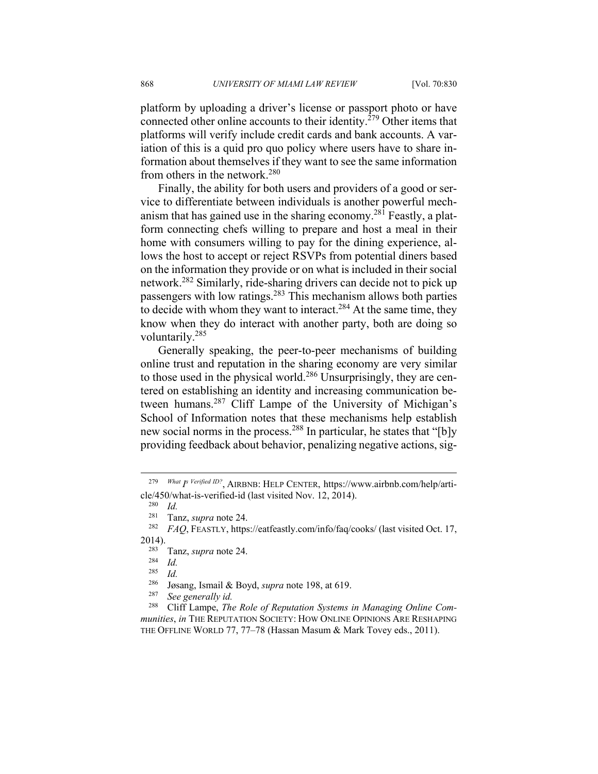platform by uploading a driver's license or passport photo or have connected other online accounts to their identity.<sup> $279$ </sup> Other items that platforms will verify include credit cards and bank accounts. A variation of this is a quid pro quo policy where users have to share information about themselves if they want to see the same information from others in the network.280

Finally, the ability for both users and providers of a good or service to differentiate between individuals is another powerful mechanism that has gained use in the sharing economy.<sup>281</sup> Feastly, a platform connecting chefs willing to prepare and host a meal in their home with consumers willing to pay for the dining experience, allows the host to accept or reject RSVPs from potential diners based on the information they provide or on what is included in their social network.282 Similarly, ride-sharing drivers can decide not to pick up passengers with low ratings.283 This mechanism allows both parties to decide with whom they want to interact.<sup>284</sup> At the same time, they know when they do interact with another party, both are doing so voluntarily.285

Generally speaking, the peer-to-peer mechanisms of building online trust and reputation in the sharing economy are very similar to those used in the physical world.<sup>286</sup> Unsurprisingly, they are centered on establishing an identity and increasing communication between humans.287 Cliff Lampe of the University of Michigan's School of Information notes that these mechanisms help establish new social norms in the process.<sup>288</sup> In particular, he states that "[b]y providing feedback about behavior, penalizing negative actions, sig-

<sup>279</sup> *What I s Verified ID?*, AIRBNB: HELP CENTER, https://www.airbnb.com/help/article/450/what-is-verified-id (last visited Nov. 12, 2014).

 $\frac{280}{281}$  *Id.* 

<sup>&</sup>lt;sup>281</sup> Tanz, *supra* note 24.<br><sup>282</sup> FAQ, FEASTLY, https://eatfeastly.com/info/faq/cooks/ (last visited Oct. 17,

<sup>2014). 283</sup> Tanz, *supra* note 24. 284 *Id.* 

 $\frac{285}{286}$  *Id.* 

<sup>286</sup> Jøsang, Ismail & Boyd, *supra* note 198, at 619. 287 *See generally id.*

<sup>288</sup> Cliff Lampe, *The Role of Reputation Systems in Managing Online Communities*, *in* THE REPUTATION SOCIETY: HOW ONLINE OPINIONS ARE RESHAPING THE OFFLINE WORLD 77, 77–78 (Hassan Masum & Mark Tovey eds., 2011).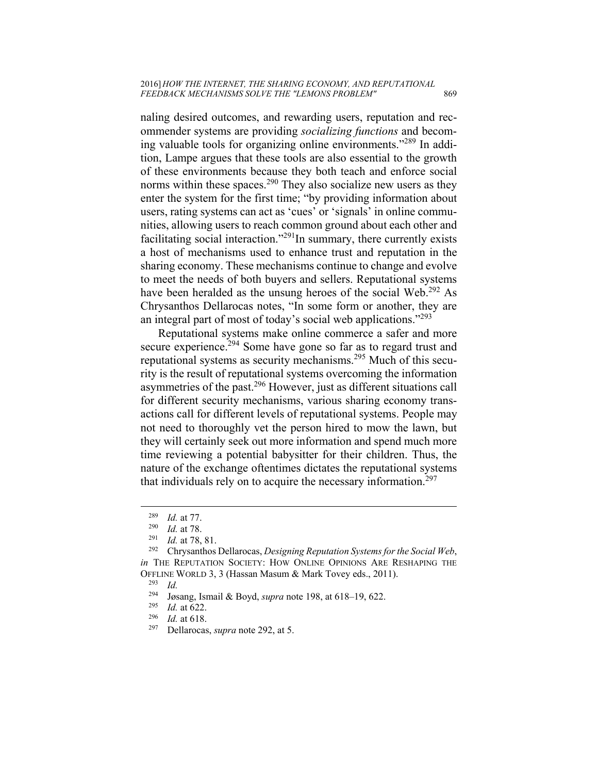naling desired outcomes, and rewarding users, reputation and recommender systems are providing *socializing functions* and becoming valuable tools for organizing online environments."289 In addition, Lampe argues that these tools are also essential to the growth of these environments because they both teach and enforce social norms within these spaces.<sup>290</sup> They also socialize new users as they enter the system for the first time; "by providing information about users, rating systems can act as 'cues' or 'signals' in online communities, allowing users to reach common ground about each other and facilitating social interaction."<sup>291</sup>In summary, there currently exists a host of mechanisms used to enhance trust and reputation in the sharing economy. These mechanisms continue to change and evolve to meet the needs of both buyers and sellers. Reputational systems have been heralded as the unsung heroes of the social Web.<sup>292</sup> As Chrysanthos Dellarocas notes, "In some form or another, they are an integral part of most of today's social web applications."293

Reputational systems make online commerce a safer and more secure experience.<sup>294</sup> Some have gone so far as to regard trust and reputational systems as security mechanisms.295 Much of this security is the result of reputational systems overcoming the information asymmetries of the past.296 However, just as different situations call for different security mechanisms, various sharing economy transactions call for different levels of reputational systems. People may not need to thoroughly vet the person hired to mow the lawn, but they will certainly seek out more information and spend much more time reviewing a potential babysitter for their children. Thus, the nature of the exchange oftentimes dictates the reputational systems that individuals rely on to acquire the necessary information.<sup>297</sup>

<sup>289</sup> *Id.* at 77. 290 *Id.* at 78. 291 *Id.* at 78, 81. 292 Chrysanthos Dellarocas, *Designing Reputation Systems for the Social Web*, *in* THE REPUTATION SOCIETY: HOW ONLINE OPINIONS ARE RESHAPING THE OFFLINE WORLD 3, 3 (Hassan Masum & Mark Tovey eds., 2011). 293 *Id.*

<sup>294</sup> Jøsang, Ismail & Boyd, *supra* note 198, at 618–19, 622. 295 *Id.* at 622. 296 *Id.* at 618. 297 Dellarocas, *supra* note 292, at 5.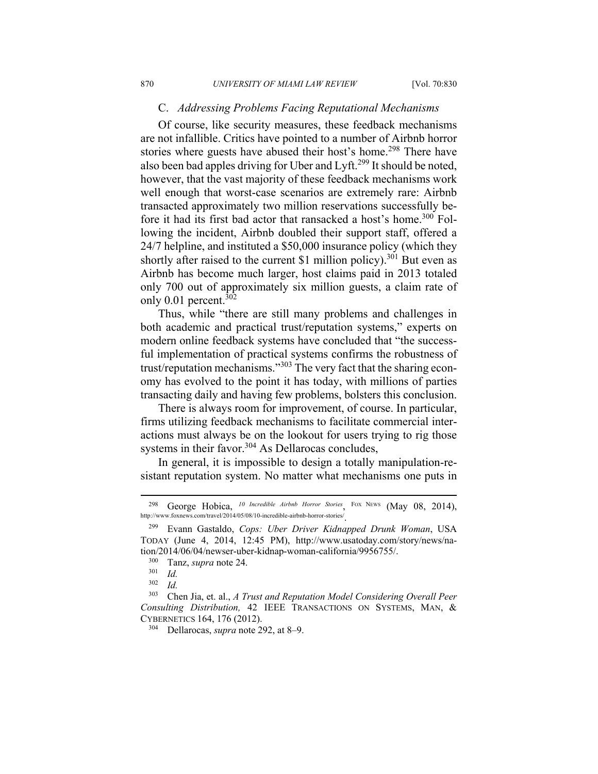#### C. *Addressing Problems Facing Reputational Mechanisms*

Of course, like security measures, these feedback mechanisms are not infallible. Critics have pointed to a number of Airbnb horror stories where guests have abused their host's home.<sup>298</sup> There have also been bad apples driving for Uber and Lyft.299 It should be noted, however, that the vast majority of these feedback mechanisms work well enough that worst-case scenarios are extremely rare: Airbnb transacted approximately two million reservations successfully before it had its first bad actor that ransacked a host's home.<sup>300</sup> Following the incident, Airbnb doubled their support staff, offered a 24/7 helpline, and instituted a \$50,000 insurance policy (which they shortly after raised to the current \$1 million policy).<sup>301</sup> But even as Airbnb has become much larger, host claims paid in 2013 totaled only 700 out of approximately six million guests, a claim rate of only 0.01 percent. $302$ 

Thus, while "there are still many problems and challenges in both academic and practical trust/reputation systems," experts on modern online feedback systems have concluded that "the successful implementation of practical systems confirms the robustness of trust/reputation mechanisms."303 The very fact that the sharing economy has evolved to the point it has today, with millions of parties transacting daily and having few problems, bolsters this conclusion.

There is always room for improvement, of course. In particular, firms utilizing feedback mechanisms to facilitate commercial interactions must always be on the lookout for users trying to rig those systems in their favor. $304$  As Dellarocas concludes,

In general, it is impossible to design a totally manipulation-resistant reputation system. No matter what mechanisms one puts in

1

<sup>298</sup> George Hobica, *10 Incredible Airbnb Horror Stories*, FOX NEWS (May 08, 2014), http://www.foxnews.com/travel/2014/05/08/10-incredible-airbnb-horror-stories/.

<sup>299</sup> Evann Gastaldo, *Cops: Uber Driver Kidnapped Drunk Woman*, USA TODAY (June 4, 2014, 12:45 PM), http://www.usatoday.com/story/news/nation/2014/06/04/newser-uber-kidnap-woman-california/9956755/.<br><sup>300</sup> Tanz, *supra* note 24.<br><sup>301</sup> Id.<br><sup>302</sup> Id.

<sup>302</sup> *Id.*

<sup>303</sup> Chen Jia, et. al., *A Trust and Reputation Model Considering Overall Peer Consulting Distribution,* 42 IEEE TRANSACTIONS ON SYSTEMS, MAN, & CYBERNETICS 164, 176 (2012). 304 Dellarocas, *supra* note 292, at 8–9.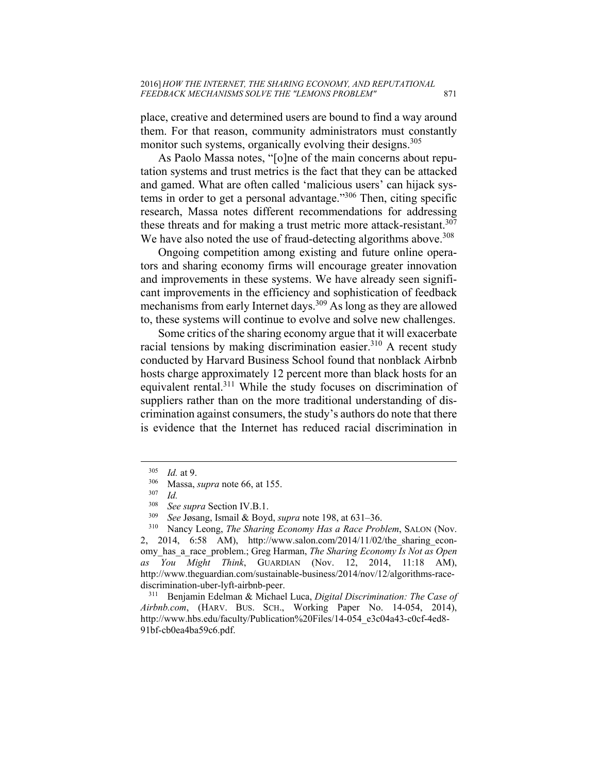place, creative and determined users are bound to find a way around them. For that reason, community administrators must constantly monitor such systems, organically evolving their designs.<sup>305</sup>

As Paolo Massa notes, "[o]ne of the main concerns about reputation systems and trust metrics is the fact that they can be attacked and gamed. What are often called 'malicious users' can hijack systems in order to get a personal advantage."306 Then, citing specific research, Massa notes different recommendations for addressing these threats and for making a trust metric more attack-resistant.<sup>307</sup> We have also noted the use of fraud-detecting algorithms above.<sup>308</sup>

Ongoing competition among existing and future online operators and sharing economy firms will encourage greater innovation and improvements in these systems. We have already seen significant improvements in the efficiency and sophistication of feedback mechanisms from early Internet days.309 As long as they are allowed to, these systems will continue to evolve and solve new challenges.

Some critics of the sharing economy argue that it will exacerbate racial tensions by making discrimination easier. $310$  A recent study conducted by Harvard Business School found that nonblack Airbnb hosts charge approximately 12 percent more than black hosts for an equivalent rental.311 While the study focuses on discrimination of suppliers rather than on the more traditional understanding of discrimination against consumers, the study's authors do note that there is evidence that the Internet has reduced racial discrimination in

 $\overline{a}$ 

2, 2014, 6:58 AM), http://www.salon.com/2014/11/02/the\_sharing\_economy\_has\_a\_race\_problem.; Greg Harman, *The Sharing Economy Is Not as Open as You Might Think*, GUARDIAN (Nov. 12, 2014, 11:18 AM), http://www.theguardian.com/sustainable-business/2014/nov/12/algorithms-racediscrimination-uber-lyft-airbnb-peer.<br><sup>311</sup> Benjamin Edelman & Michael Luca, *Digital Discrimination: The Case of* 

*Airbnb.com*, (HARV. BUS. SCH., Working Paper No. 14-054, 2014), http://www.hbs.edu/faculty/Publication%20Files/14-054\_e3c04a43-c0cf-4ed8-91bf-cb0ea4ba59c6.pdf.

<sup>305</sup> *Id.* at 9. 306 Massa, *supra* note 66, at 155. 307 *Id.*

<sup>308</sup> *See supra* Section IV.B.1. 309 *See* Jøsang, Ismail & Boyd, *supra* note 198, at 631–36. 310 Nancy Leong, *The Sharing Economy Has a Race Problem*, SALON (Nov.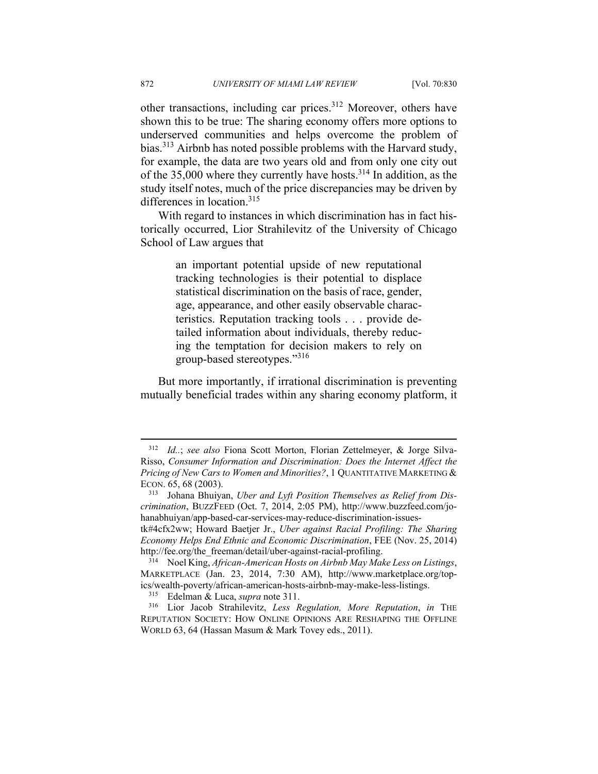other transactions, including car prices.312 Moreover, others have shown this to be true: The sharing economy offers more options to underserved communities and helps overcome the problem of bias.313 Airbnb has noted possible problems with the Harvard study, for example, the data are two years old and from only one city out of the  $35,000$  where they currently have hosts.<sup>314</sup> In addition, as the study itself notes, much of the price discrepancies may be driven by differences in location.<sup>315</sup>

With regard to instances in which discrimination has in fact historically occurred, Lior Strahilevitz of the University of Chicago School of Law argues that

> an important potential upside of new reputational tracking technologies is their potential to displace statistical discrimination on the basis of race, gender, age, appearance, and other easily observable characteristics. Reputation tracking tools . . . provide detailed information about individuals, thereby reducing the temptation for decision makers to rely on group-based stereotypes."<sup>316</sup>

But more importantly, if irrational discrimination is preventing mutually beneficial trades within any sharing economy platform, it

<sup>312</sup> *Id..*; *see also* Fiona Scott Morton, Florian Zettelmeyer, & Jorge Silva-Risso, *Consumer Information and Discrimination: Does the Internet Affect the Pricing of New Cars to Women and Minorities?*, 1 QUANTITATIVE MARKETING & ECON. 65, 68 (2003).

<sup>313</sup> Johana Bhuiyan, *Uber and Lyft Position Themselves as Relief from Discrimination*, BUZZFEED (Oct. 7, 2014, 2:05 PM), http://www.buzzfeed.com/johanabhuiyan/app-based-car-services-may-reduce-discrimination-issues-

tk#4cfx2ww; Howard Baetjer Jr., *Uber against Racial Profiling: The Sharing Economy Helps End Ethnic and Economic Discrimination*, FEE (Nov. 25, 2014) http://fee.org/the\_freeman/detail/uber-against-racial-profiling. 314 Noel King, *African-American Hosts on Airbnb May Make Less on Listings*,

MARKETPLACE (Jan. 23, 2014, 7:30 AM), http://www.marketplace.org/topics/wealth-poverty/african-american-hosts-airbnb-may-make-less-listings. 315 Edelman & Luca, *supra* note 311. 316 Lior Jacob Strahilevitz, *Less Regulation, More Reputation*, *in* THE

REPUTATION SOCIETY: HOW ONLINE OPINIONS ARE RESHAPING THE OFFLINE WORLD 63, 64 (Hassan Masum & Mark Tovey eds., 2011).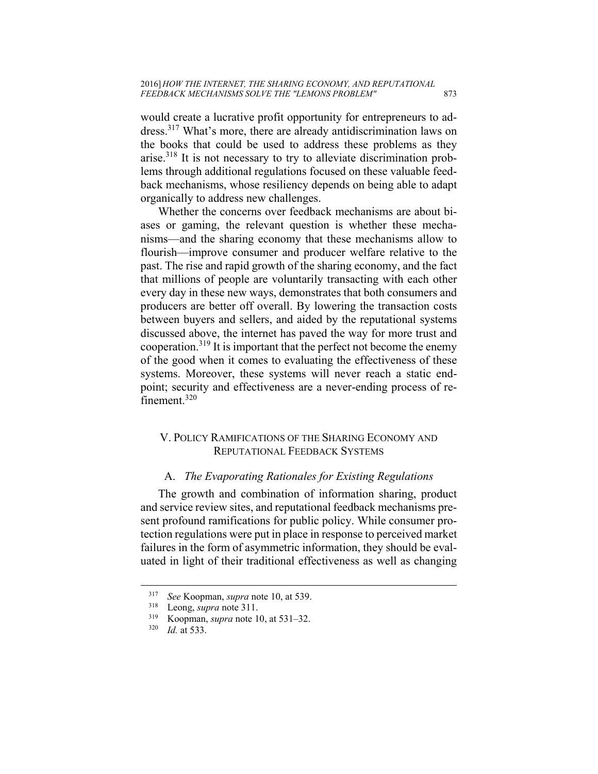would create a lucrative profit opportunity for entrepreneurs to address.317 What's more, there are already antidiscrimination laws on the books that could be used to address these problems as they arise.318 It is not necessary to try to alleviate discrimination problems through additional regulations focused on these valuable feedback mechanisms, whose resiliency depends on being able to adapt organically to address new challenges.

Whether the concerns over feedback mechanisms are about biases or gaming, the relevant question is whether these mechanisms—and the sharing economy that these mechanisms allow to flourish—improve consumer and producer welfare relative to the past. The rise and rapid growth of the sharing economy, and the fact that millions of people are voluntarily transacting with each other every day in these new ways, demonstrates that both consumers and producers are better off overall. By lowering the transaction costs between buyers and sellers, and aided by the reputational systems discussed above, the internet has paved the way for more trust and cooperation.<sup>319</sup> It is important that the perfect not become the enemy of the good when it comes to evaluating the effectiveness of these systems. Moreover, these systems will never reach a static endpoint; security and effectiveness are a never-ending process of refinement.<sup>320</sup>

## V. POLICY RAMIFICATIONS OF THE SHARING ECONOMY AND REPUTATIONAL FEEDBACK SYSTEMS

#### A. *The Evaporating Rationales for Existing Regulations*

The growth and combination of information sharing, product and service review sites, and reputational feedback mechanisms present profound ramifications for public policy. While consumer protection regulations were put in place in response to perceived market failures in the form of asymmetric information, they should be evaluated in light of their traditional effectiveness as well as changing

1

<sup>317</sup> *See* Koopman, *supra* note 10, at 539. 318 Leong, *supra* note 311. 319 Koopman, *supra* note 10, at 531–32. 320 *Id.* at 533.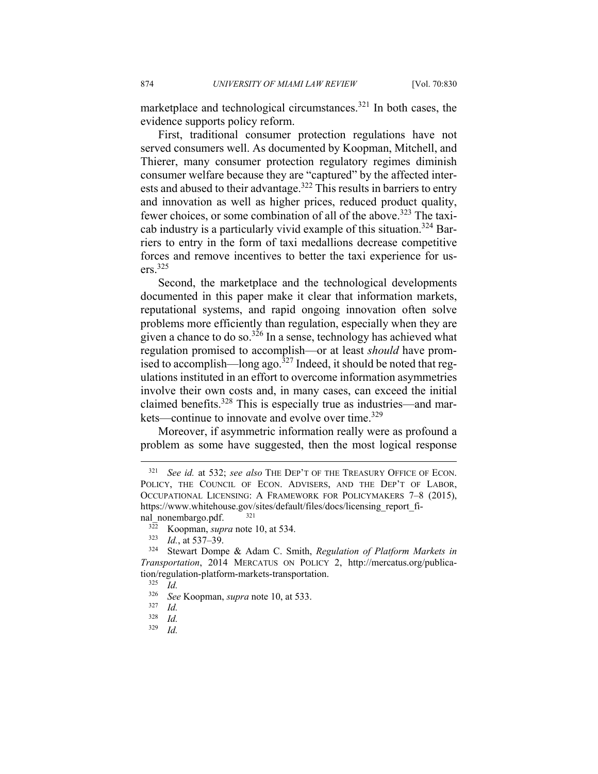marketplace and technological circumstances. $321$  In both cases, the evidence supports policy reform.

First, traditional consumer protection regulations have not served consumers well. As documented by Koopman, Mitchell, and Thierer, many consumer protection regulatory regimes diminish consumer welfare because they are "captured" by the affected interests and abused to their advantage.<sup>322</sup> This results in barriers to entry and innovation as well as higher prices, reduced product quality, fewer choices, or some combination of all of the above.<sup>323</sup> The taxicab industry is a particularly vivid example of this situation.324 Barriers to entry in the form of taxi medallions decrease competitive forces and remove incentives to better the taxi experience for users.325

Second, the marketplace and the technological developments documented in this paper make it clear that information markets, reputational systems, and rapid ongoing innovation often solve problems more efficiently than regulation, especially when they are given a chance to do so.<sup>326</sup> In a sense, technology has achieved what regulation promised to accomplish—or at least *should* have promised to accomplish—long ago. $327$  Indeed, it should be noted that regulations instituted in an effort to overcome information asymmetries involve their own costs and, in many cases, can exceed the initial claimed benefits.328 This is especially true as industries—and markets—continue to innovate and evolve over time.<sup>329</sup>

Moreover, if asymmetric information really were as profound a problem as some have suggested, then the most logical response

<sup>321</sup> *See id.* at 532; *see also* THE DEP'T OF THE TREASURY OFFICE OF ECON. POLICY, THE COUNCIL OF ECON. ADVISERS, AND THE DEP'T OF LABOR, OCCUPATIONAL LICENSING: A FRAMEWORK FOR POLICYMAKERS 7–8 (2015), https://www.whitehouse.gov/sites/default/files/docs/licensing\_report\_fi-

nal\_nonembargo.pdf. <sup>321</sup><br><sup>322</sup> Koopman, *supra* note 10, at 534.<br><sup>323</sup> *Id.*, at 537–39.<br><sup>324</sup> Stewart Dompe & Adam C. Smith, *Regulation of Platform Markets in Transportation*, 2014 MERCATUS ON POLICY 2, http://mercatus.org/publication/regulation-platform-markets-transportation.<br><sup>325</sup> *Id.*<br><sup>326</sup> See Koopman, sung note 10, at 533

<sup>326</sup> *See* Koopman, *supra* note 10, at 533. 327 *Id.* 

*Id.* 

<sup>329</sup> *Id.*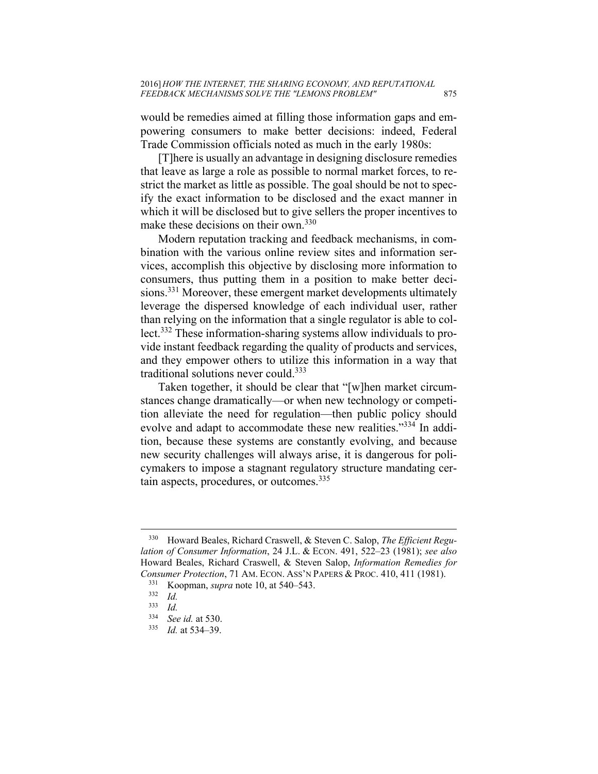would be remedies aimed at filling those information gaps and empowering consumers to make better decisions: indeed, Federal Trade Commission officials noted as much in the early 1980s:

[T]here is usually an advantage in designing disclosure remedies that leave as large a role as possible to normal market forces, to restrict the market as little as possible. The goal should be not to specify the exact information to be disclosed and the exact manner in which it will be disclosed but to give sellers the proper incentives to make these decisions on their own.<sup>330</sup>

Modern reputation tracking and feedback mechanisms, in combination with the various online review sites and information services, accomplish this objective by disclosing more information to consumers, thus putting them in a position to make better decisions.<sup>331</sup> Moreover, these emergent market developments ultimately leverage the dispersed knowledge of each individual user, rather than relying on the information that a single regulator is able to collect.332 These information-sharing systems allow individuals to provide instant feedback regarding the quality of products and services, and they empower others to utilize this information in a way that traditional solutions never could.<sup>333</sup>

Taken together, it should be clear that "[w]hen market circumstances change dramatically—or when new technology or competition alleviate the need for regulation—then public policy should evolve and adapt to accommodate these new realities."<sup>334</sup> In addition, because these systems are constantly evolving, and because new security challenges will always arise, it is dangerous for policymakers to impose a stagnant regulatory structure mandating certain aspects, procedures, or outcomes.<sup>335</sup>

<sup>330</sup> Howard Beales, Richard Craswell, & Steven C. Salop, *The Efficient Regulation of Consumer Information*, 24 J.L. & ECON. 491, 522–23 (1981); *see also* Howard Beales, Richard Craswell, & Steven Salop, *Information Remedies for Consumer Protection*, 71 AM. ECON. ASS'N PAPERS & PROC. 410, 411 (1981).<br><sup>331</sup> Koopman, *supra* note 10, at 540–543.<br><sup>332</sup> *Id.* <sup>333</sup> *Id.* 

 $\frac{333}{334}$  *Id.* 

<sup>334</sup> *See id.* at 530. 335 *Id.* at 534–39.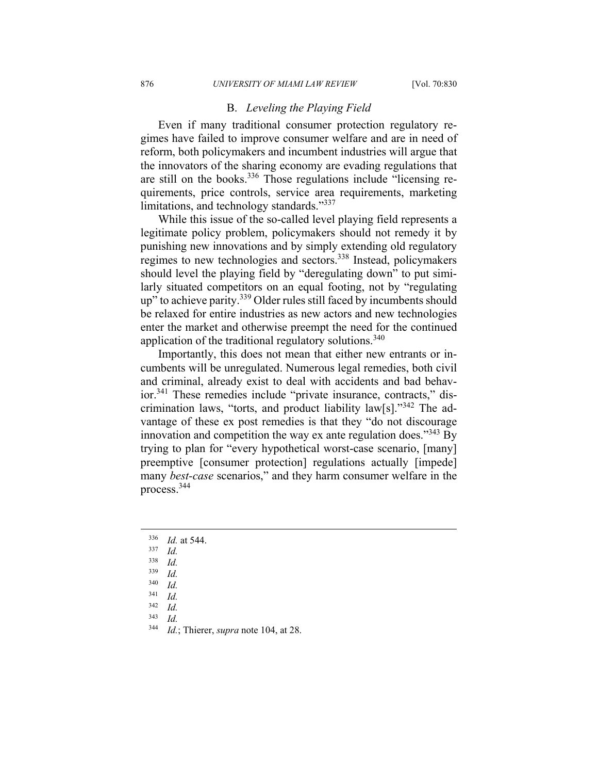#### B. *Leveling the Playing Field*

Even if many traditional consumer protection regulatory regimes have failed to improve consumer welfare and are in need of reform, both policymakers and incumbent industries will argue that the innovators of the sharing economy are evading regulations that are still on the books.336 Those regulations include "licensing requirements, price controls, service area requirements, marketing limitations, and technology standards."337

While this issue of the so-called level playing field represents a legitimate policy problem, policymakers should not remedy it by punishing new innovations and by simply extending old regulatory regimes to new technologies and sectors.338 Instead, policymakers should level the playing field by "deregulating down" to put similarly situated competitors on an equal footing, not by "regulating up" to achieve parity.<sup>339</sup> Older rules still faced by incumbents should be relaxed for entire industries as new actors and new technologies enter the market and otherwise preempt the need for the continued application of the traditional regulatory solutions.<sup>340</sup>

Importantly, this does not mean that either new entrants or incumbents will be unregulated. Numerous legal remedies, both civil and criminal, already exist to deal with accidents and bad behavior.341 These remedies include "private insurance, contracts," discrimination laws, "torts, and product liability law[s]."342 The advantage of these ex post remedies is that they "do not discourage innovation and competition the way ex ante regulation does.<sup> $343$ </sup> By trying to plan for "every hypothetical worst-case scenario, [many] preemptive [consumer protection] regulations actually [impede] many *best-case* scenarios," and they harm consumer welfare in the process.344

- 338 *Id.*
- $\frac{339}{340}$  *Id.*
- $\frac{340}{341}$  *Id.*
- $\frac{341}{342}$  *Id.*
- $\frac{342}{343}$  *Id.*
- *Id.*
- 344 *Id.*; Thierer, *supra* note 104, at 28.

<sup>336</sup> *Id.* at 544. 337 *Id.*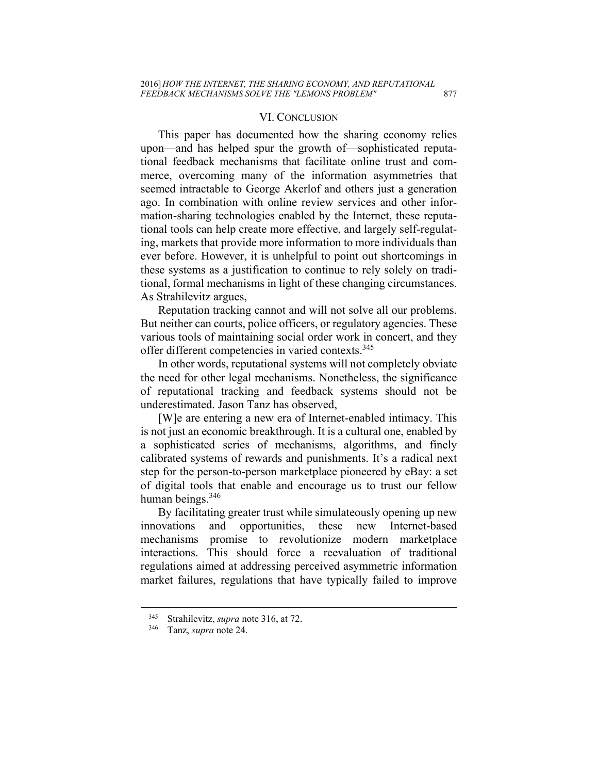#### VI. CONCLUSION

This paper has documented how the sharing economy relies upon—and has helped spur the growth of—sophisticated reputational feedback mechanisms that facilitate online trust and commerce, overcoming many of the information asymmetries that seemed intractable to George Akerlof and others just a generation ago. In combination with online review services and other information-sharing technologies enabled by the Internet, these reputational tools can help create more effective, and largely self-regulating, markets that provide more information to more individuals than ever before. However, it is unhelpful to point out shortcomings in these systems as a justification to continue to rely solely on traditional, formal mechanisms in light of these changing circumstances. As Strahilevitz argues,

Reputation tracking cannot and will not solve all our problems. But neither can courts, police officers, or regulatory agencies. These various tools of maintaining social order work in concert, and they offer different competencies in varied contexts.<sup>345</sup>

In other words, reputational systems will not completely obviate the need for other legal mechanisms. Nonetheless, the significance of reputational tracking and feedback systems should not be underestimated. Jason Tanz has observed,

[W]e are entering a new era of Internet-enabled intimacy. This is not just an economic breakthrough. It is a cultural one, enabled by a sophisticated series of mechanisms, algorithms, and finely calibrated systems of rewards and punishments. It's a radical next step for the person-to-person marketplace pioneered by eBay: a set of digital tools that enable and encourage us to trust our fellow human beings. $346$ 

By facilitating greater trust while simulateously opening up new innovations and opportunities, these new Internet-based mechanisms promise to revolutionize modern marketplace interactions. This should force a reevaluation of traditional regulations aimed at addressing perceived asymmetric information market failures, regulations that have typically failed to improve

<sup>345</sup> Strahilevitz, *supra* note 316, at 72. 346 Tanz, *supra* note 24.